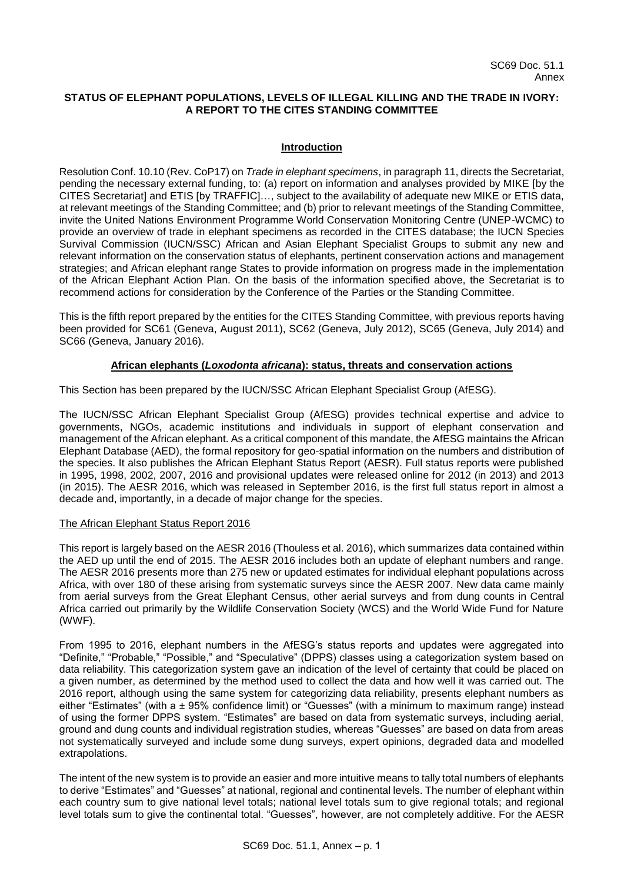### **STATUS OF ELEPHANT POPULATIONS, LEVELS OF ILLEGAL KILLING AND THE TRADE IN IVORY: A REPORT TO THE CITES STANDING COMMITTEE**

### **Introduction**

Resolution Conf. 10.10 (Rev. CoP17) on *Trade in elephant specimens*, in paragraph 11, directs the Secretariat, pending the necessary external funding, to: (a) report on information and analyses provided by MIKE [by the CITES Secretariat] and ETIS [by TRAFFIC]…, subject to the availability of adequate new MIKE or ETIS data, at relevant meetings of the Standing Committee; and (b) prior to relevant meetings of the Standing Committee, invite the United Nations Environment Programme World Conservation Monitoring Centre (UNEP-WCMC) to provide an overview of trade in elephant specimens as recorded in the CITES database; the IUCN Species Survival Commission (IUCN/SSC) African and Asian Elephant Specialist Groups to submit any new and relevant information on the conservation status of elephants, pertinent conservation actions and management strategies; and African elephant range States to provide information on progress made in the implementation of the African Elephant Action Plan. On the basis of the information specified above, the Secretariat is to recommend actions for consideration by the Conference of the Parties or the Standing Committee.

This is the fifth report prepared by the entities for the CITES Standing Committee, with previous reports having been provided for SC61 (Geneva, August 2011), SC62 (Geneva, July 2012), SC65 (Geneva, July 2014) and SC66 (Geneva, January 2016).

### **African elephants (***Loxodonta africana***): status, threats and conservation actions**

This Section has been prepared by the IUCN/SSC African Elephant Specialist Group (AfESG).

The IUCN/SSC African Elephant Specialist Group (AfESG) provides technical expertise and advice to governments, NGOs, academic institutions and individuals in support of elephant conservation and management of the African elephant. As a critical component of this mandate, the AfESG maintains the African Elephant Database (AED), the formal repository for geo-spatial information on the numbers and distribution of the species. It also publishes the African Elephant Status Report (AESR). Full status reports were published in 1995, 1998, 2002, 2007, 2016 and provisional updates were released online for 2012 (in 2013) and 2013 (in 2015). The AESR 2016, which was released in September 2016, is the first full status report in almost a decade and, importantly, in a decade of major change for the species.

#### The African Elephant Status Report 2016

This report is largely based on the AESR 2016 (Thouless et al. 2016), which summarizes data contained within the AED up until the end of 2015. The AESR 2016 includes both an update of elephant numbers and range. The AESR 2016 presents more than 275 new or updated estimates for individual elephant populations across Africa, with over 180 of these arising from systematic surveys since the AESR 2007. New data came mainly from aerial surveys from the Great Elephant Census, other aerial surveys and from dung counts in Central Africa carried out primarily by the Wildlife Conservation Society (WCS) and the World Wide Fund for Nature (WWF).

From 1995 to 2016, elephant numbers in the AfESG's status reports and updates were aggregated into "Definite," "Probable," "Possible," and "Speculative" (DPPS) classes using a categorization system based on data reliability. This categorization system gave an indication of the level of certainty that could be placed on a given number, as determined by the method used to collect the data and how well it was carried out. The 2016 report, although using the same system for categorizing data reliability, presents elephant numbers as either "Estimates" (with a ± 95% confidence limit) or "Guesses" (with a minimum to maximum range) instead of using the former DPPS system. "Estimates" are based on data from systematic surveys, including aerial, ground and dung counts and individual registration studies, whereas "Guesses" are based on data from areas not systematically surveyed and include some dung surveys, expert opinions, degraded data and modelled extrapolations.

The intent of the new system is to provide an easier and more intuitive means to tally total numbers of elephants to derive "Estimates" and "Guesses" at national, regional and continental levels. The number of elephant within each country sum to give national level totals; national level totals sum to give regional totals; and regional level totals sum to give the continental total. "Guesses", however, are not completely additive. For the AESR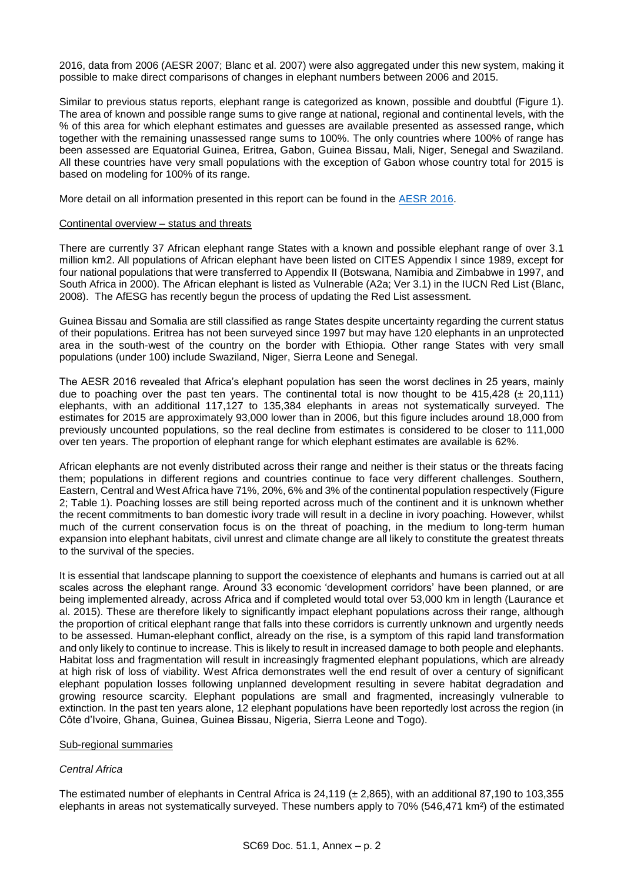2016, data from 2006 (AESR 2007; Blanc et al. 2007) were also aggregated under this new system, making it possible to make direct comparisons of changes in elephant numbers between 2006 and 2015.

Similar to previous status reports, elephant range is categorized as known, possible and doubtful (Figure 1). The area of known and possible range sums to give range at national, regional and continental levels, with the % of this area for which elephant estimates and guesses are available presented as assessed range, which together with the remaining unassessed range sums to 100%. The only countries where 100% of range has been assessed are Equatorial Guinea, Eritrea, Gabon, Guinea Bissau, Mali, Niger, Senegal and Swaziland. All these countries have very small populations with the exception of Gabon whose country total for 2015 is based on modeling for 100% of its range.

More detail on all information presented in this report can be found in the [AESR 2016.](https://www.iucn.org/content/african-elephant-status-report-2016-update-african-elephant-database)

### Continental overview – status and threats

There are currently 37 African elephant range States with a known and possible elephant range of over 3.1 million km2. All populations of African elephant have been listed on CITES Appendix I since 1989, except for four national populations that were transferred to Appendix II (Botswana, Namibia and Zimbabwe in 1997, and South Africa in 2000). The African elephant is listed as Vulnerable (A2a; Ver 3.1) in the IUCN Red List (Blanc, 2008). The AfESG has recently begun the process of updating the Red List assessment.

Guinea Bissau and Somalia are still classified as range States despite uncertainty regarding the current status of their populations. Eritrea has not been surveyed since 1997 but may have 120 elephants in an unprotected area in the south-west of the country on the border with Ethiopia. Other range States with very small populations (under 100) include Swaziland, Niger, Sierra Leone and Senegal.

The AESR 2016 revealed that Africa's elephant population has seen the worst declines in 25 years, mainly due to poaching over the past ten years. The continental total is now thought to be  $415,428 \ (\pm 20,111)$ elephants, with an additional 117,127 to 135,384 elephants in areas not systematically surveyed. The estimates for 2015 are approximately 93,000 lower than in 2006, but this figure includes around 18,000 from previously uncounted populations, so the real decline from estimates is considered to be closer to 111,000 over ten years. The proportion of elephant range for which elephant estimates are available is 62%.

African elephants are not evenly distributed across their range and neither is their status or the threats facing them; populations in different regions and countries continue to face very different challenges. Southern, Eastern, Central and West Africa have 71%, 20%, 6% and 3% of the continental population respectively (Figure 2; Table 1). Poaching losses are still being reported across much of the continent and it is unknown whether the recent commitments to ban domestic ivory trade will result in a decline in ivory poaching. However, whilst much of the current conservation focus is on the threat of poaching, in the medium to long-term human expansion into elephant habitats, civil unrest and climate change are all likely to constitute the greatest threats to the survival of the species.

It is essential that landscape planning to support the coexistence of elephants and humans is carried out at all scales across the elephant range. Around 33 economic 'development corridors' have been planned, or are being implemented already, across Africa and if completed would total over 53,000 km in length (Laurance et al. 2015). These are therefore likely to significantly impact elephant populations across their range, although the proportion of critical elephant range that falls into these corridors is currently unknown and urgently needs to be assessed. Human-elephant conflict, already on the rise, is a symptom of this rapid land transformation and only likely to continue to increase. This is likely to result in increased damage to both people and elephants. Habitat loss and fragmentation will result in increasingly fragmented elephant populations, which are already at high risk of loss of viability. West Africa demonstrates well the end result of over a century of significant elephant population losses following unplanned development resulting in severe habitat degradation and growing resource scarcity. Elephant populations are small and fragmented, increasingly vulnerable to extinction. In the past ten years alone, 12 elephant populations have been reportedly lost across the region (in Côte d'Ivoire, Ghana, Guinea, Guinea Bissau, Nigeria, Sierra Leone and Togo).

#### Sub-regional summaries

# *Central Africa*

The estimated number of elephants in Central Africa is 24,119 ( $\pm$  2,865), with an additional 87,190 to 103,355 elephants in areas not systematically surveyed. These numbers apply to 70% (546,471 km²) of the estimated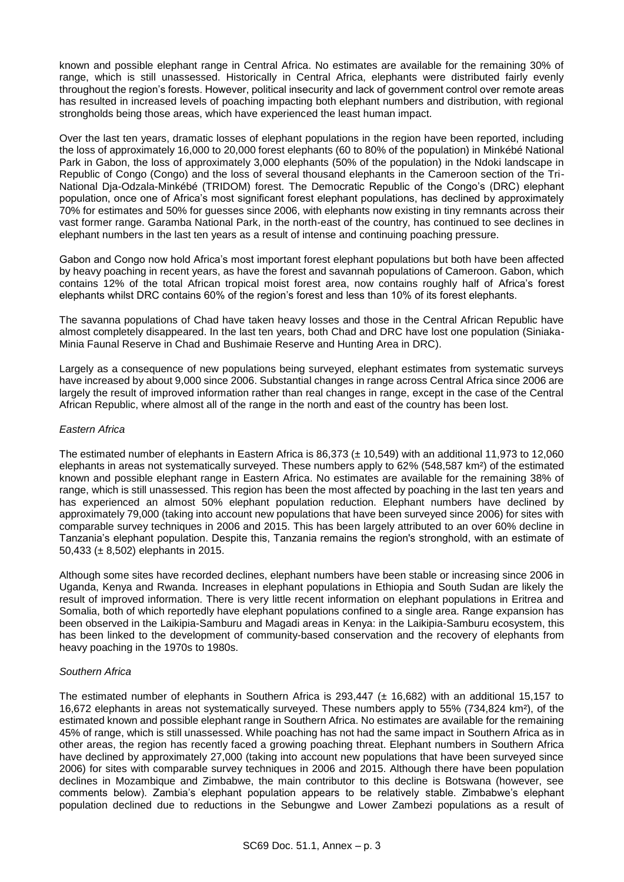known and possible elephant range in Central Africa. No estimates are available for the remaining 30% of range, which is still unassessed. Historically in Central Africa, elephants were distributed fairly evenly throughout the region's forests. However, political insecurity and lack of government control over remote areas has resulted in increased levels of poaching impacting both elephant numbers and distribution, with regional strongholds being those areas, which have experienced the least human impact.

Over the last ten years, dramatic losses of elephant populations in the region have been reported, including the loss of approximately 16,000 to 20,000 forest elephants (60 to 80% of the population) in Minkébé National Park in Gabon, the loss of approximately 3,000 elephants (50% of the population) in the Ndoki landscape in Republic of Congo (Congo) and the loss of several thousand elephants in the Cameroon section of the Tri-National Dja-Odzala-Minkébé (TRIDOM) forest. The Democratic Republic of the Congo's (DRC) elephant population, once one of Africa's most significant forest elephant populations, has declined by approximately 70% for estimates and 50% for guesses since 2006, with elephants now existing in tiny remnants across their vast former range. Garamba National Park, in the north-east of the country, has continued to see declines in elephant numbers in the last ten years as a result of intense and continuing poaching pressure.

Gabon and Congo now hold Africa's most important forest elephant populations but both have been affected by heavy poaching in recent years, as have the forest and savannah populations of Cameroon. Gabon, which contains 12% of the total African tropical moist forest area, now contains roughly half of Africa's forest elephants whilst DRC contains 60% of the region's forest and less than 10% of its forest elephants.

The savanna populations of Chad have taken heavy losses and those in the Central African Republic have almost completely disappeared. In the last ten years, both Chad and DRC have lost one population (Siniaka-Minia Faunal Reserve in Chad and Bushimaie Reserve and Hunting Area in DRC).

Largely as a consequence of new populations being surveyed, elephant estimates from systematic surveys have increased by about 9,000 since 2006. Substantial changes in range across Central Africa since 2006 are largely the result of improved information rather than real changes in range, except in the case of the Central African Republic, where almost all of the range in the north and east of the country has been lost.

# *Eastern Africa*

The estimated number of elephants in Eastern Africa is 86,373 ( $\pm$  10,549) with an additional 11,973 to 12,060 elephants in areas not systematically surveyed. These numbers apply to 62% (548,587 km²) of the estimated known and possible elephant range in Eastern Africa. No estimates are available for the remaining 38% of range, which is still unassessed. This region has been the most affected by poaching in the last ten years and has experienced an almost 50% elephant population reduction. Elephant numbers have declined by approximately 79,000 (taking into account new populations that have been surveyed since 2006) for sites with comparable survey techniques in 2006 and 2015. This has been largely attributed to an over 60% decline in Tanzania's elephant population. Despite this, Tanzania remains the region's stronghold, with an estimate of 50,433 (± 8,502) elephants in 2015.

Although some sites have recorded declines, elephant numbers have been stable or increasing since 2006 in Uganda, Kenya and Rwanda. Increases in elephant populations in Ethiopia and South Sudan are likely the result of improved information. There is very little recent information on elephant populations in Eritrea and Somalia, both of which reportedly have elephant populations confined to a single area. Range expansion has been observed in the Laikipia-Samburu and Magadi areas in Kenya: in the Laikipia-Samburu ecosystem, this has been linked to the development of community-based conservation and the recovery of elephants from heavy poaching in the 1970s to 1980s.

# *Southern Africa*

The estimated number of elephants in Southern Africa is 293,447 ( $\pm$  16,682) with an additional 15,157 to 16,672 elephants in areas not systematically surveyed. These numbers apply to 55% (734,824 km²), of the estimated known and possible elephant range in Southern Africa. No estimates are available for the remaining 45% of range, which is still unassessed. While poaching has not had the same impact in Southern Africa as in other areas, the region has recently faced a growing poaching threat. Elephant numbers in Southern Africa have declined by approximately 27,000 (taking into account new populations that have been surveyed since 2006) for sites with comparable survey techniques in 2006 and 2015. Although there have been population declines in Mozambique and Zimbabwe, the main contributor to this decline is Botswana (however, see comments below). Zambia's elephant population appears to be relatively stable. Zimbabwe's elephant population declined due to reductions in the Sebungwe and Lower Zambezi populations as a result of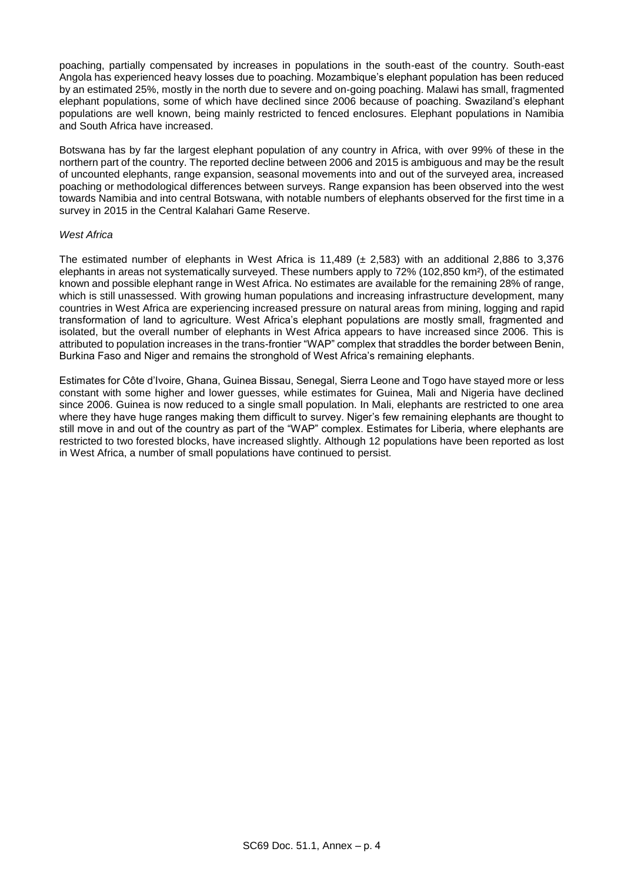poaching, partially compensated by increases in populations in the south-east of the country. South-east Angola has experienced heavy losses due to poaching. Mozambique's elephant population has been reduced by an estimated 25%, mostly in the north due to severe and on-going poaching. Malawi has small, fragmented elephant populations, some of which have declined since 2006 because of poaching. Swaziland's elephant populations are well known, being mainly restricted to fenced enclosures. Elephant populations in Namibia and South Africa have increased.

Botswana has by far the largest elephant population of any country in Africa, with over 99% of these in the northern part of the country. The reported decline between 2006 and 2015 is ambiguous and may be the result of uncounted elephants, range expansion, seasonal movements into and out of the surveyed area, increased poaching or methodological differences between surveys. Range expansion has been observed into the west towards Namibia and into central Botswana, with notable numbers of elephants observed for the first time in a survey in 2015 in the Central Kalahari Game Reserve.

#### *West Africa*

The estimated number of elephants in West Africa is 11,489 ( $\pm$  2,583) with an additional 2,886 to 3,376 elephants in areas not systematically surveyed. These numbers apply to 72% (102,850 km²), of the estimated known and possible elephant range in West Africa. No estimates are available for the remaining 28% of range, which is still unassessed. With growing human populations and increasing infrastructure development, many countries in West Africa are experiencing increased pressure on natural areas from mining, logging and rapid transformation of land to agriculture. West Africa's elephant populations are mostly small, fragmented and isolated, but the overall number of elephants in West Africa appears to have increased since 2006. This is attributed to population increases in the trans-frontier "WAP" complex that straddles the border between Benin, Burkina Faso and Niger and remains the stronghold of West Africa's remaining elephants.

Estimates for Côte d'Ivoire, Ghana, Guinea Bissau, Senegal, Sierra Leone and Togo have stayed more or less constant with some higher and lower guesses, while estimates for Guinea, Mali and Nigeria have declined since 2006. Guinea is now reduced to a single small population. In Mali, elephants are restricted to one area where they have huge ranges making them difficult to survey. Niger's few remaining elephants are thought to still move in and out of the country as part of the "WAP" complex. Estimates for Liberia, where elephants are restricted to two forested blocks, have increased slightly. Although 12 populations have been reported as lost in West Africa, a number of small populations have continued to persist.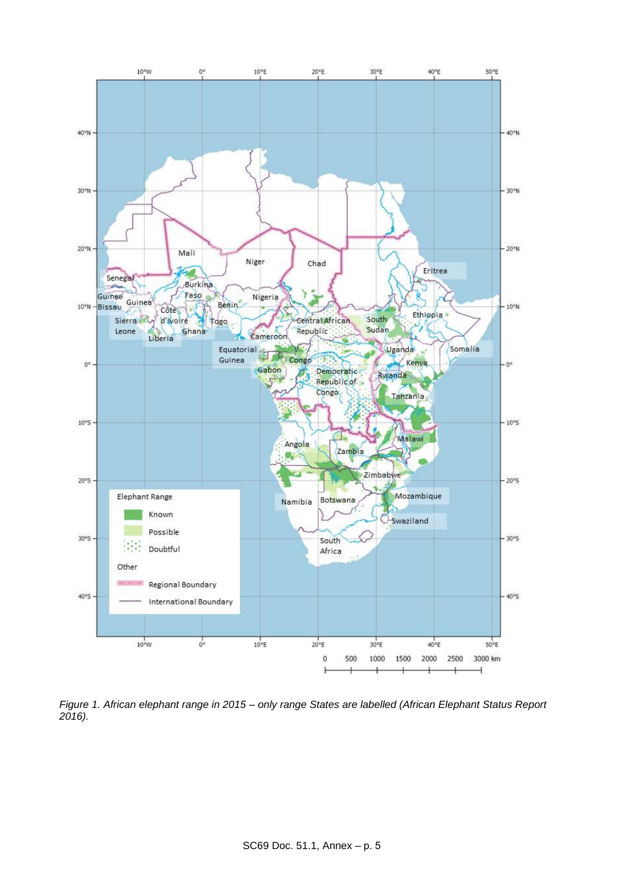

*Figure 1. African elephant range in 2015 – only range States are labelled (African Elephant Status Report 2016).*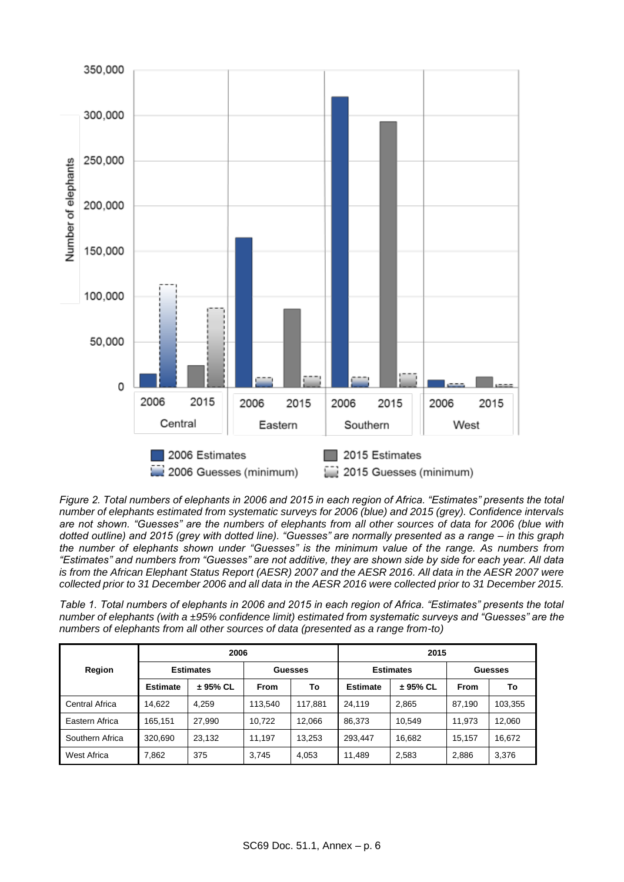

*Figure 2. Total numbers of elephants in 2006 and 2015 in each region of Africa. "Estimates" presents the total number of elephants estimated from systematic surveys for 2006 (blue) and 2015 (grey). Confidence intervals are not shown. "Guesses" are the numbers of elephants from all other sources of data for 2006 (blue with dotted outline) and 2015 (grey with dotted line). "Guesses" are normally presented as a range – in this graph the number of elephants shown under "Guesses" is the minimum value of the range. As numbers from "Estimates" and numbers from "Guesses" are not additive, they are shown side by side for each year. All data*  is from the African Elephant Status Report (AESR) 2007 and the AESR 2016. All data in the AESR 2007 were *collected prior to 31 December 2006 and all data in the AESR 2016 were collected prior to 31 December 2015.*

*Table 1. Total numbers of elephants in 2006 and 2015 in each region of Africa. "Estimates" presents the total number of elephants (with a ±95% confidence limit) estimated from systematic surveys and "Guesses" are the numbers of elephants from all other sources of data (presented as a range from-to)*

|                 | 2006             |              |                |         | 2015             |              |                |         |
|-----------------|------------------|--------------|----------------|---------|------------------|--------------|----------------|---------|
| Region          | <b>Estimates</b> |              | <b>Guesses</b> |         | <b>Estimates</b> |              | <b>Guesses</b> |         |
|                 | <b>Estimate</b>  | $\pm$ 95% CL | From           | То      | <b>Estimate</b>  | $\pm$ 95% CL | <b>From</b>    | То      |
| Central Africa  | 14.622           | 4,259        | 113.540        | 117.881 | 24.119           | 2,865        | 87.190         | 103,355 |
| Eastern Africa  | 165.151          | 27.990       | 10.722         | 12.066  | 86.373           | 10.549       | 11.973         | 12,060  |
| Southern Africa | 320.690          | 23.132       | 11.197         | 13.253  | 293.447          | 16.682       | 15,157         | 16.672  |
| West Africa     | 7,862            | 375          | 3.745          | 4.053   | 11.489           | 2.583        | 2,886          | 3,376   |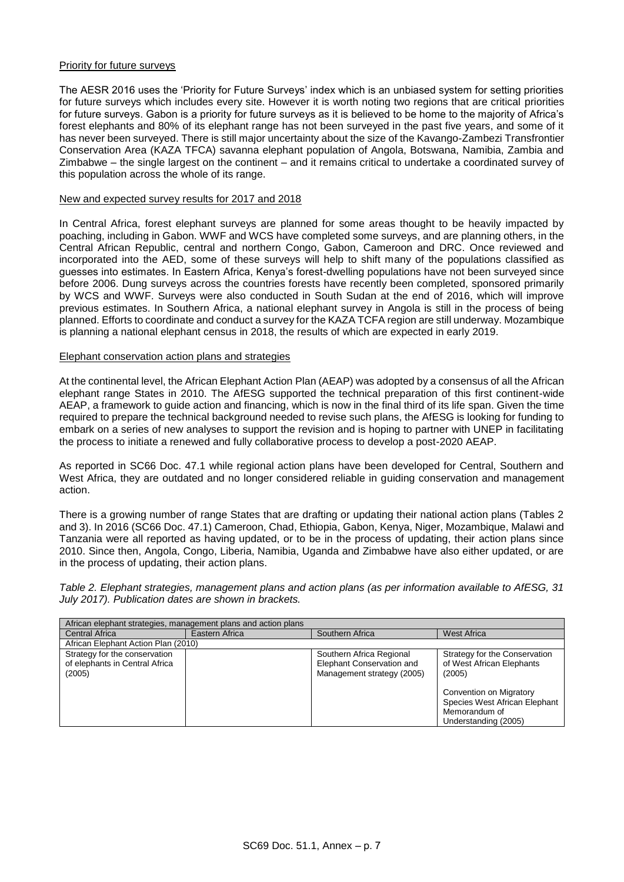### Priority for future surveys

The AESR 2016 uses the 'Priority for Future Surveys' index which is an unbiased system for setting priorities for future surveys which includes every site. However it is worth noting two regions that are critical priorities for future surveys. Gabon is a priority for future surveys as it is believed to be home to the majority of Africa's forest elephants and 80% of its elephant range has not been surveyed in the past five years, and some of it has never been surveyed. There is still major uncertainty about the size of the Kavango-Zambezi Transfrontier Conservation Area (KAZA TFCA) savanna elephant population of Angola, Botswana, Namibia, Zambia and Zimbabwe – the single largest on the continent – and it remains critical to undertake a coordinated survey of this population across the whole of its range.

#### New and expected survey results for 2017 and 2018

In Central Africa, forest elephant surveys are planned for some areas thought to be heavily impacted by poaching, including in Gabon. WWF and WCS have completed some surveys, and are planning others, in the Central African Republic, central and northern Congo, Gabon, Cameroon and DRC. Once reviewed and incorporated into the AED, some of these surveys will help to shift many of the populations classified as guesses into estimates. In Eastern Africa, Kenya's forest-dwelling populations have not been surveyed since before 2006. Dung surveys across the countries forests have recently been completed, sponsored primarily by WCS and WWF. Surveys were also conducted in South Sudan at the end of 2016, which will improve previous estimates. In Southern Africa, a national elephant survey in Angola is still in the process of being planned. Efforts to coordinate and conduct a survey for the KAZA TCFA region are still underway. Mozambique is planning a national elephant census in 2018, the results of which are expected in early 2019.

### Elephant conservation action plans and strategies

At the continental level, the African Elephant Action Plan (AEAP) was adopted by a consensus of all the African elephant range States in 2010. The AfESG supported the technical preparation of this first continent-wide AEAP, a framework to guide action and financing, which is now in the final third of its life span. Given the time required to prepare the technical background needed to revise such plans, the AfESG is looking for funding to embark on a series of new analyses to support the revision and is hoping to partner with UNEP in facilitating the process to initiate a renewed and fully collaborative process to develop a post-2020 AEAP.

As reported in SC66 Doc. 47.1 while regional action plans have been developed for Central, Southern and West Africa, they are outdated and no longer considered reliable in guiding conservation and management action.

There is a growing number of range States that are drafting or updating their national action plans (Tables 2 and 3). In 2016 (SC66 Doc. 47.1) Cameroon, Chad, Ethiopia, Gabon, Kenya, Niger, Mozambique, Malawi and Tanzania were all reported as having updated, or to be in the process of updating, their action plans since 2010. Since then, Angola, Congo, Liberia, Namibia, Uganda and Zimbabwe have also either updated, or are in the process of updating, their action plans.

*Table 2. Elephant strategies, management plans and action plans (as per information available to AfESG, 31 July 2017). Publication dates are shown in brackets.*

| African elephant strategies, management plans and action plans            |                                     |                                                                                     |                                                                                                                                                                           |  |  |  |  |  |  |
|---------------------------------------------------------------------------|-------------------------------------|-------------------------------------------------------------------------------------|---------------------------------------------------------------------------------------------------------------------------------------------------------------------------|--|--|--|--|--|--|
| <b>Central Africa</b>                                                     | Eastern Africa                      | Southern Africa                                                                     | <b>West Africa</b>                                                                                                                                                        |  |  |  |  |  |  |
|                                                                           | African Elephant Action Plan (2010) |                                                                                     |                                                                                                                                                                           |  |  |  |  |  |  |
| Strategy for the conservation<br>of elephants in Central Africa<br>(2005) |                                     | Southern Africa Regional<br>Elephant Conservation and<br>Management strategy (2005) | Strategy for the Conservation<br>of West African Elephants<br>(2005)<br>Convention on Migratory<br>Species West African Elephant<br>Memorandum of<br>Understanding (2005) |  |  |  |  |  |  |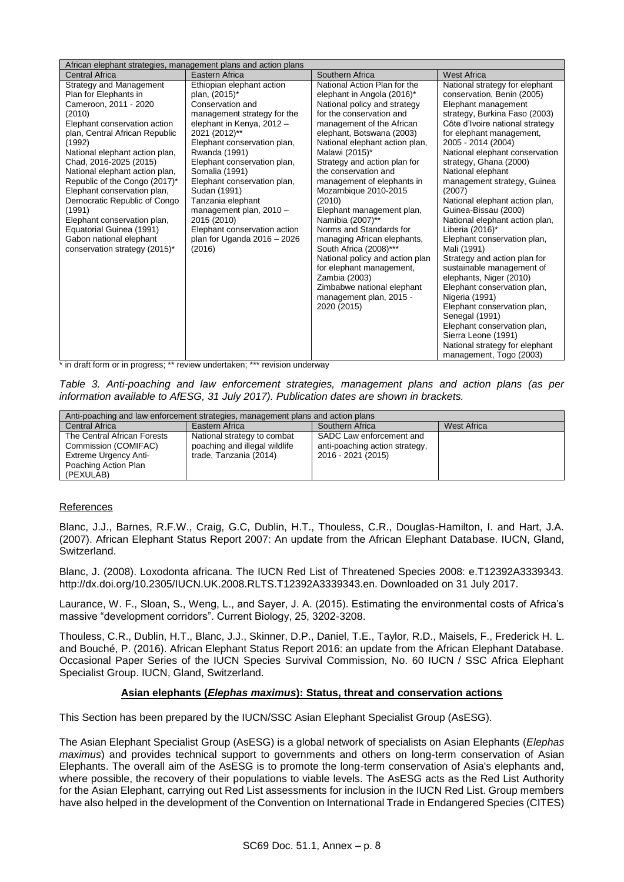| African elephant strategies, management plans and action plans                                                                                                                                                                                                                                                                                                                                                                                                                                 |                                                                                                                                                                                                                                                                                                                                                                                                                                       |                                                                                                                                                                                                                                                                                                                                                                                                                                                                                                                                                                                                                                                           |                                                                                                                                                                                                                                                                                                                                                                                                                                                                                                                                                                                                                                                                                                                                                                                                               |  |  |  |  |  |
|------------------------------------------------------------------------------------------------------------------------------------------------------------------------------------------------------------------------------------------------------------------------------------------------------------------------------------------------------------------------------------------------------------------------------------------------------------------------------------------------|---------------------------------------------------------------------------------------------------------------------------------------------------------------------------------------------------------------------------------------------------------------------------------------------------------------------------------------------------------------------------------------------------------------------------------------|-----------------------------------------------------------------------------------------------------------------------------------------------------------------------------------------------------------------------------------------------------------------------------------------------------------------------------------------------------------------------------------------------------------------------------------------------------------------------------------------------------------------------------------------------------------------------------------------------------------------------------------------------------------|---------------------------------------------------------------------------------------------------------------------------------------------------------------------------------------------------------------------------------------------------------------------------------------------------------------------------------------------------------------------------------------------------------------------------------------------------------------------------------------------------------------------------------------------------------------------------------------------------------------------------------------------------------------------------------------------------------------------------------------------------------------------------------------------------------------|--|--|--|--|--|
| <b>Central Africa</b>                                                                                                                                                                                                                                                                                                                                                                                                                                                                          | Eastern Africa                                                                                                                                                                                                                                                                                                                                                                                                                        | Southern Africa                                                                                                                                                                                                                                                                                                                                                                                                                                                                                                                                                                                                                                           | <b>West Africa</b>                                                                                                                                                                                                                                                                                                                                                                                                                                                                                                                                                                                                                                                                                                                                                                                            |  |  |  |  |  |
| Strategy and Management<br>Plan for Elephants in<br>Cameroon, 2011 - 2020<br>(2010)<br>Elephant conservation action<br>plan, Central African Republic<br>(1992)<br>National elephant action plan,<br>Chad, 2016-2025 (2015)<br>National elephant action plan,<br>Republic of the Congo (2017)*<br>Elephant conservation plan,<br>Democratic Republic of Congo<br>(1991)<br>Elephant conservation plan,<br>Equatorial Guinea (1991)<br>Gabon national elephant<br>conservation strategy (2015)* | Ethiopian elephant action<br>plan, (2015)*<br>Conservation and<br>management strategy for the<br>elephant in Kenya, 2012 -<br>2021 (2012)**<br>Elephant conservation plan,<br>Rwanda (1991)<br>Elephant conservation plan,<br>Somalia (1991)<br>Elephant conservation plan,<br>Sudan (1991)<br>Tanzania elephant<br>management plan, 2010 -<br>2015 (2010)<br>Elephant conservation action<br>plan for Uganda $2016 - 2026$<br>(2016) | National Action Plan for the<br>elephant in Angola (2016)*<br>National policy and strategy<br>for the conservation and<br>management of the African<br>elephant, Botswana (2003)<br>National elephant action plan,<br>Malawi (2015)*<br>Strategy and action plan for<br>the conservation and<br>management of elephants in<br>Mozambique 2010-2015<br>(2010)<br>Elephant management plan,<br>Namibia (2007)**<br>Norms and Standards for<br>managing African elephants,<br>South Africa (2008)***<br>National policy and action plan<br>for elephant management,<br>Zambia (2003)<br>Zimbabwe national elephant<br>management plan, 2015 -<br>2020 (2015) | National strategy for elephant<br>conservation, Benin (2005)<br>Elephant management<br>strategy, Burkina Faso (2003)<br>Côte d'Ivoire national strategy<br>for elephant management,<br>2005 - 2014 (2004)<br>National elephant conservation<br>strategy, Ghana (2000)<br>National elephant<br>management strategy, Guinea<br>(2007)<br>National elephant action plan,<br>Guinea-Bissau (2000)<br>National elephant action plan,<br>Liberia (2016)*<br>Elephant conservation plan,<br>Mali (1991)<br>Strategy and action plan for<br>sustainable management of<br>elephants, Niger (2010)<br>Elephant conservation plan,<br>Nigeria (1991)<br>Elephant conservation plan,<br>Senegal (1991)<br>Elephant conservation plan,<br>Sierra Leone (1991)<br>National strategy for elephant<br>management, Togo (2003) |  |  |  |  |  |

\* in draft form or in progress; \*\* review undertaken; \*\*\* revision underway

*Table 3. Anti-poaching and law enforcement strategies, management plans and action plans (as per information available to AfESG, 31 July 2017). Publication dates are shown in brackets.*

| Anti-poaching and law enforcement strategies, management plans and action plans                                   |                                                                                        |                                                                                  |  |  |  |  |  |  |
|-------------------------------------------------------------------------------------------------------------------|----------------------------------------------------------------------------------------|----------------------------------------------------------------------------------|--|--|--|--|--|--|
| <b>Central Africa</b>                                                                                             | Southern Africa<br>Eastern Africa<br>West Africa                                       |                                                                                  |  |  |  |  |  |  |
| The Central African Forests<br>Commission (COMIFAC)<br>Extreme Urgency Anti-<br>Poaching Action Plan<br>(PEXULAB) | National strategy to combat<br>poaching and illegal wildlife<br>trade, Tanzania (2014) | SADC Law enforcement and<br>anti-poaching action strategy,<br>2016 - 2021 (2015) |  |  |  |  |  |  |

#### References

Blanc, J.J., Barnes, R.F.W., Craig, G.C, Dublin, H.T., Thouless, C.R., Douglas-Hamilton, I. and Hart, J.A. (2007). African Elephant Status Report 2007: An update from the African Elephant Database. IUCN, Gland, Switzerland.

Blanc, J. (2008). Loxodonta africana. The IUCN Red List of Threatened Species 2008: e.T12392A3339343. http://dx.doi.org/10.2305/IUCN.UK.2008.RLTS.T12392A3339343.en. Downloaded on 31 July 2017.

Laurance, W. F., Sloan, S., Weng, L., and Sayer, J. A. (2015). Estimating the environmental costs of Africa's massive "development corridors". Current Biology, 25, 3202-3208.

Thouless, C.R., Dublin, H.T., Blanc, J.J., Skinner, D.P., Daniel, T.E., Taylor, R.D., Maisels, F., Frederick H. L. and Bouché, P. (2016). African Elephant Status Report 2016: an update from the African Elephant Database. Occasional Paper Series of the IUCN Species Survival Commission, No. 60 IUCN / SSC Africa Elephant Specialist Group. IUCN, Gland, Switzerland.

# **Asian elephants (***Elephas maximus***): Status, threat and conservation actions**

This Section has been prepared by the IUCN/SSC Asian Elephant Specialist Group (AsESG).

The Asian Elephant Specialist Group (AsESG) is a global network of specialists on Asian Elephants (*Elephas*  maximus) and provides technical support to governments and others on long-term conservation of Asian Elephants. The overall aim of the AsESG is to promote the long-term conservation of Asia's elephants and, where possible, the recovery of their populations to viable levels. The AsESG acts as the Red List Authority for the Asian Elephant, carrying out Red List assessments for inclusion in the IUCN Red List. Group members have also helped in the development of the Convention on International Trade in Endangered Species (CITES)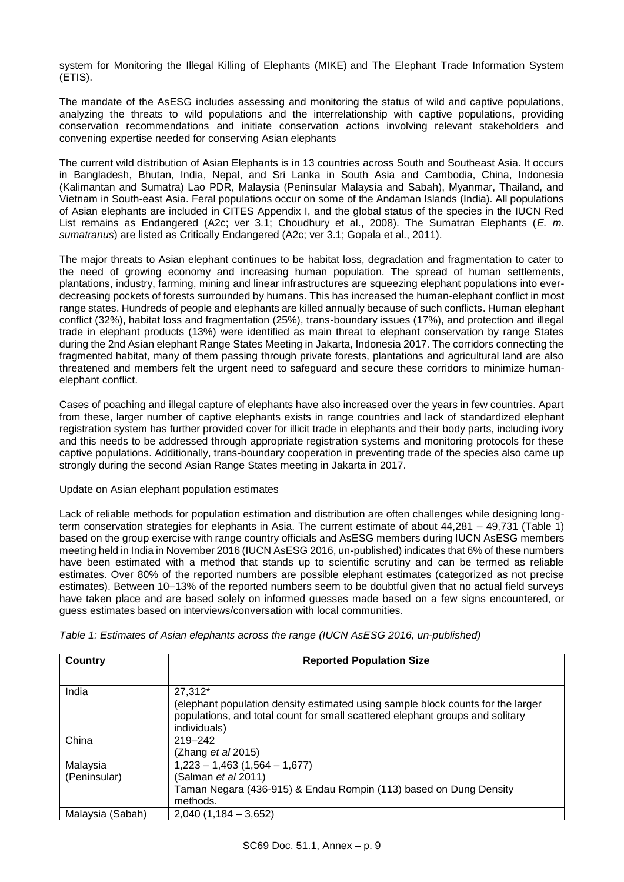system for Monitoring the Illegal Killing of Elephants (MIKE) and The Elephant Trade Information System (ETIS).

The mandate of the AsESG includes assessing and monitoring the status of wild and captive populations, analyzing the threats to wild populations and the interrelationship with captive populations, providing conservation recommendations and initiate conservation actions involving relevant stakeholders and convening expertise needed for conserving Asian elephants

The current wild distribution of Asian Elephants is in 13 countries across South and Southeast Asia. It occurs in Bangladesh, Bhutan, India, Nepal, and Sri Lanka in South Asia and Cambodia, China, Indonesia (Kalimantan and Sumatra) Lao PDR, Malaysia (Peninsular Malaysia and Sabah), Myanmar, Thailand, and Vietnam in South-east Asia. Feral populations occur on some of the Andaman Islands (India). All populations of Asian elephants are included in CITES Appendix I, and the global status of the species in the IUCN Red List remains as Endangered (A2c; ver 3.1; Choudhury et al., 2008). The Sumatran Elephants (*E. m. sumatranus*) are listed as Critically Endangered (A2c; ver 3.1; Gopala et al., 2011).

The major threats to Asian elephant continues to be habitat loss, degradation and fragmentation to cater to the need of growing economy and increasing human population. The spread of human settlements, plantations, industry, farming, mining and linear infrastructures are squeezing elephant populations into everdecreasing pockets of forests surrounded by humans. This has increased the human-elephant conflict in most range states. Hundreds of people and elephants are killed annually because of such conflicts. Human elephant conflict (32%), habitat loss and fragmentation (25%), trans-boundary issues (17%), and protection and illegal trade in elephant products (13%) were identified as main threat to elephant conservation by range States during the 2nd Asian elephant Range States Meeting in Jakarta, Indonesia 2017. The corridors connecting the fragmented habitat, many of them passing through private forests, plantations and agricultural land are also threatened and members felt the urgent need to safeguard and secure these corridors to minimize humanelephant conflict.

Cases of poaching and illegal capture of elephants have also increased over the years in few countries. Apart from these, larger number of captive elephants exists in range countries and lack of standardized elephant registration system has further provided cover for illicit trade in elephants and their body parts, including ivory and this needs to be addressed through appropriate registration systems and monitoring protocols for these captive populations. Additionally, trans-boundary cooperation in preventing trade of the species also came up strongly during the second Asian Range States meeting in Jakarta in 2017.

#### Update on Asian elephant population estimates

Lack of reliable methods for population estimation and distribution are often challenges while designing longterm conservation strategies for elephants in Asia. The current estimate of about 44,281 – 49,731 (Table 1) based on the group exercise with range country officials and AsESG members during IUCN AsESG members meeting held in India in November 2016 (IUCN AsESG 2016, un-published) indicates that 6% of these numbers have been estimated with a method that stands up to scientific scrutiny and can be termed as reliable estimates. Over 80% of the reported numbers are possible elephant estimates (categorized as not precise estimates). Between 10–13% of the reported numbers seem to be doubtful given that no actual field surveys have taken place and are based solely on informed guesses made based on a few signs encountered, or guess estimates based on interviews/conversation with local communities.

| Country          | <b>Reported Population Size</b>                                                                                                                                  |  |  |  |  |  |
|------------------|------------------------------------------------------------------------------------------------------------------------------------------------------------------|--|--|--|--|--|
|                  |                                                                                                                                                                  |  |  |  |  |  |
| India            | 27,312*                                                                                                                                                          |  |  |  |  |  |
|                  | (elephant population density estimated using sample block counts for the larger<br>populations, and total count for small scattered elephant groups and solitary |  |  |  |  |  |
|                  | individuals)                                                                                                                                                     |  |  |  |  |  |
| China            | 219-242                                                                                                                                                          |  |  |  |  |  |
|                  | (Zhang et al 2015)                                                                                                                                               |  |  |  |  |  |
| Malaysia         | $1,223 - 1,463$ (1,564 - 1,677)                                                                                                                                  |  |  |  |  |  |
| (Peninsular)     | (Salman et al 2011)                                                                                                                                              |  |  |  |  |  |
|                  | Taman Negara (436-915) & Endau Rompin (113) based on Dung Density                                                                                                |  |  |  |  |  |
|                  | methods.                                                                                                                                                         |  |  |  |  |  |
| Malaysia (Sabah) | $2,040$ (1,184 - 3,652)                                                                                                                                          |  |  |  |  |  |

*Table 1: Estimates of Asian elephants across the range (IUCN AsESG 2016, un-published)*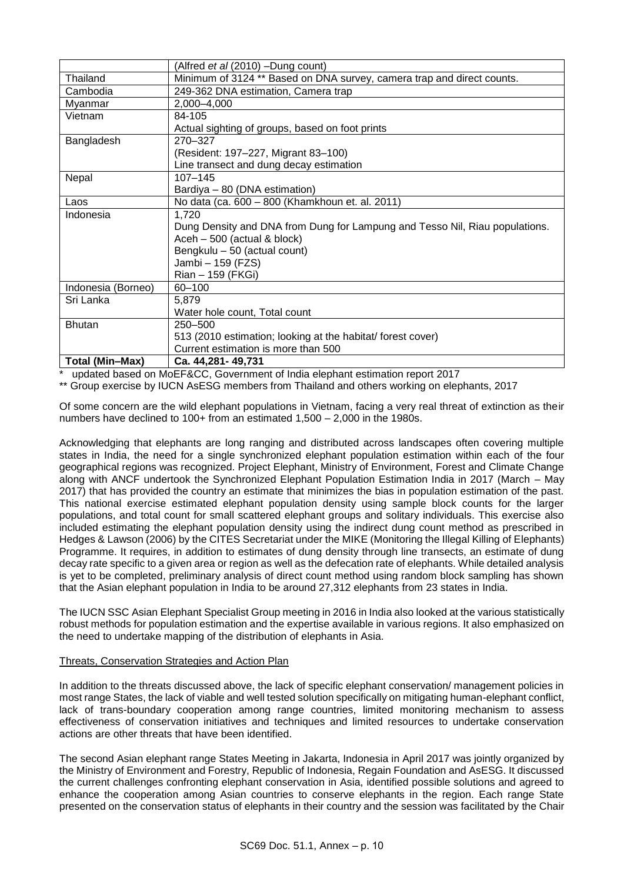|                        | (Alfred et al (2010) -Dung count)                                           |  |  |  |  |  |  |
|------------------------|-----------------------------------------------------------------------------|--|--|--|--|--|--|
| Thailand               | Minimum of 3124 ** Based on DNA survey, camera trap and direct counts.      |  |  |  |  |  |  |
| Cambodia               | 249-362 DNA estimation, Camera trap                                         |  |  |  |  |  |  |
| Myanmar                | 2,000-4,000                                                                 |  |  |  |  |  |  |
| Vietnam                | 84-105                                                                      |  |  |  |  |  |  |
|                        | Actual sighting of groups, based on foot prints                             |  |  |  |  |  |  |
| Bangladesh             | 270-327                                                                     |  |  |  |  |  |  |
|                        | (Resident: 197-227, Migrant 83-100)                                         |  |  |  |  |  |  |
|                        | Line transect and dung decay estimation                                     |  |  |  |  |  |  |
| Nepal                  | $107 - 145$                                                                 |  |  |  |  |  |  |
|                        | Bardiya - 80 (DNA estimation)                                               |  |  |  |  |  |  |
| Laos                   | No data (ca. 600 - 800 (Khamkhoun et. al. 2011)                             |  |  |  |  |  |  |
| Indonesia              | 1,720                                                                       |  |  |  |  |  |  |
|                        | Dung Density and DNA from Dung for Lampung and Tesso Nil, Riau populations. |  |  |  |  |  |  |
|                        | Aceh - 500 (actual & block)                                                 |  |  |  |  |  |  |
|                        | Bengkulu - 50 (actual count)                                                |  |  |  |  |  |  |
|                        | Jambi - 159 (FZS)                                                           |  |  |  |  |  |  |
|                        | Rian - 159 (FKGi)                                                           |  |  |  |  |  |  |
| Indonesia (Borneo)     | 60-100                                                                      |  |  |  |  |  |  |
| Sri Lanka              | 5,879                                                                       |  |  |  |  |  |  |
|                        | Water hole count, Total count                                               |  |  |  |  |  |  |
| <b>Bhutan</b>          | 250-500                                                                     |  |  |  |  |  |  |
|                        | 513 (2010 estimation; looking at the habitat/forest cover)                  |  |  |  |  |  |  |
|                        | Current estimation is more than 500                                         |  |  |  |  |  |  |
| <b>Total (Min-Max)</b> | Ca. 44,281-49,731                                                           |  |  |  |  |  |  |

\* updated based on MoEF&CC, Government of India elephant estimation report 2017

\*\* Group exercise by IUCN AsESG members from Thailand and others working on elephants, 2017

Of some concern are the wild elephant populations in Vietnam, facing a very real threat of extinction as their numbers have declined to 100+ from an estimated 1,500 – 2,000 in the 1980s.

Acknowledging that elephants are long ranging and distributed across landscapes often covering multiple states in India, the need for a single synchronized elephant population estimation within each of the four geographical regions was recognized. Project Elephant, Ministry of Environment, Forest and Climate Change along with ANCF undertook the Synchronized Elephant Population Estimation India in 2017 (March – May 2017) that has provided the country an estimate that minimizes the bias in population estimation of the past. This national exercise estimated elephant population density using sample block counts for the larger populations, and total count for small scattered elephant groups and solitary individuals. This exercise also included estimating the elephant population density using the indirect dung count method as prescribed in Hedges & Lawson (2006) by the CITES Secretariat under the MIKE (Monitoring the Illegal Killing of Elephants) Programme. It requires, in addition to estimates of dung density through line transects, an estimate of dung decay rate specific to a given area or region as well as the defecation rate of elephants. While detailed analysis is yet to be completed, preliminary analysis of direct count method using random block sampling has shown that the Asian elephant population in India to be around 27,312 elephants from 23 states in India.

The IUCN SSC Asian Elephant Specialist Group meeting in 2016 in India also looked at the various statistically robust methods for population estimation and the expertise available in various regions. It also emphasized on the need to undertake mapping of the distribution of elephants in Asia.

# Threats, Conservation Strategies and Action Plan

In addition to the threats discussed above, the lack of specific elephant conservation/ management policies in most range States, the lack of viable and well tested solution specifically on mitigating human-elephant conflict, lack of trans-boundary cooperation among range countries, limited monitoring mechanism to assess effectiveness of conservation initiatives and techniques and limited resources to undertake conservation actions are other threats that have been identified.

The second Asian elephant range States Meeting in Jakarta, Indonesia in April 2017 was jointly organized by the Ministry of Environment and Forestry, Republic of Indonesia, Regain Foundation and AsESG. It discussed the current challenges confronting elephant conservation in Asia, identified possible solutions and agreed to enhance the cooperation among Asian countries to conserve elephants in the region. Each range State presented on the conservation status of elephants in their country and the session was facilitated by the Chair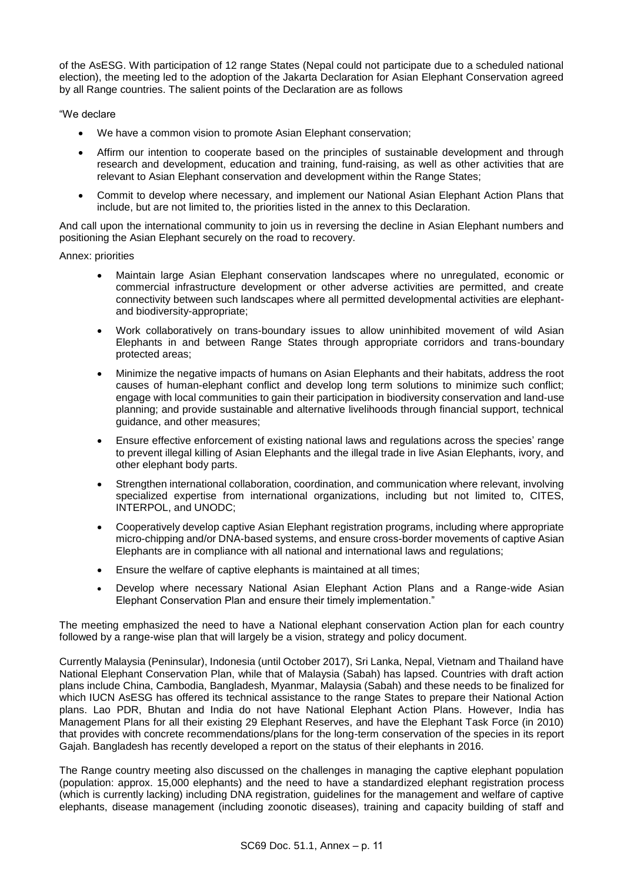of the AsESG. With participation of 12 range States (Nepal could not participate due to a scheduled national election), the meeting led to the adoption of the Jakarta Declaration for Asian Elephant Conservation agreed by all Range countries. The salient points of the Declaration are as follows

"We declare

- We have a common vision to promote Asian Elephant conservation;
- Affirm our intention to cooperate based on the principles of sustainable development and through research and development, education and training, fund-raising, as well as other activities that are relevant to Asian Elephant conservation and development within the Range States;
- Commit to develop where necessary, and implement our National Asian Elephant Action Plans that include, but are not limited to, the priorities listed in the annex to this Declaration.

And call upon the international community to join us in reversing the decline in Asian Elephant numbers and positioning the Asian Elephant securely on the road to recovery.

Annex: priorities

- Maintain large Asian Elephant conservation landscapes where no unregulated, economic or commercial infrastructure development or other adverse activities are permitted, and create connectivity between such landscapes where all permitted developmental activities are elephantand biodiversity-appropriate;
- Work collaboratively on trans-boundary issues to allow uninhibited movement of wild Asian Elephants in and between Range States through appropriate corridors and trans-boundary protected areas;
- Minimize the negative impacts of humans on Asian Elephants and their habitats, address the root causes of human-elephant conflict and develop long term solutions to minimize such conflict; engage with local communities to gain their participation in biodiversity conservation and land-use planning; and provide sustainable and alternative livelihoods through financial support, technical guidance, and other measures;
- Ensure effective enforcement of existing national laws and regulations across the species' range to prevent illegal killing of Asian Elephants and the illegal trade in live Asian Elephants, ivory, and other elephant body parts.
- Strengthen international collaboration, coordination, and communication where relevant, involving specialized expertise from international organizations, including but not limited to, CITES, INTERPOL, and UNODC;
- Cooperatively develop captive Asian Elephant registration programs, including where appropriate micro-chipping and/or DNA-based systems, and ensure cross-border movements of captive Asian Elephants are in compliance with all national and international laws and regulations;
- Ensure the welfare of captive elephants is maintained at all times;
- Develop where necessary National Asian Elephant Action Plans and a Range-wide Asian Elephant Conservation Plan and ensure their timely implementation."

The meeting emphasized the need to have a National elephant conservation Action plan for each country followed by a range-wise plan that will largely be a vision, strategy and policy document.

Currently Malaysia (Peninsular), Indonesia (until October 2017), Sri Lanka, Nepal, Vietnam and Thailand have National Elephant Conservation Plan, while that of Malaysia (Sabah) has lapsed. Countries with draft action plans include China, Cambodia, Bangladesh, Myanmar, Malaysia (Sabah) and these needs to be finalized for which IUCN AsESG has offered its technical assistance to the range States to prepare their National Action plans. Lao PDR, Bhutan and India do not have National Elephant Action Plans. However, India has Management Plans for all their existing 29 Elephant Reserves, and have the Elephant Task Force (in 2010) that provides with concrete recommendations/plans for the long-term conservation of the species in its report Gajah. Bangladesh has recently developed a report on the status of their elephants in 2016.

The Range country meeting also discussed on the challenges in managing the captive elephant population (population: approx. 15,000 elephants) and the need to have a standardized elephant registration process (which is currently lacking) including DNA registration, guidelines for the management and welfare of captive elephants, disease management (including zoonotic diseases), training and capacity building of staff and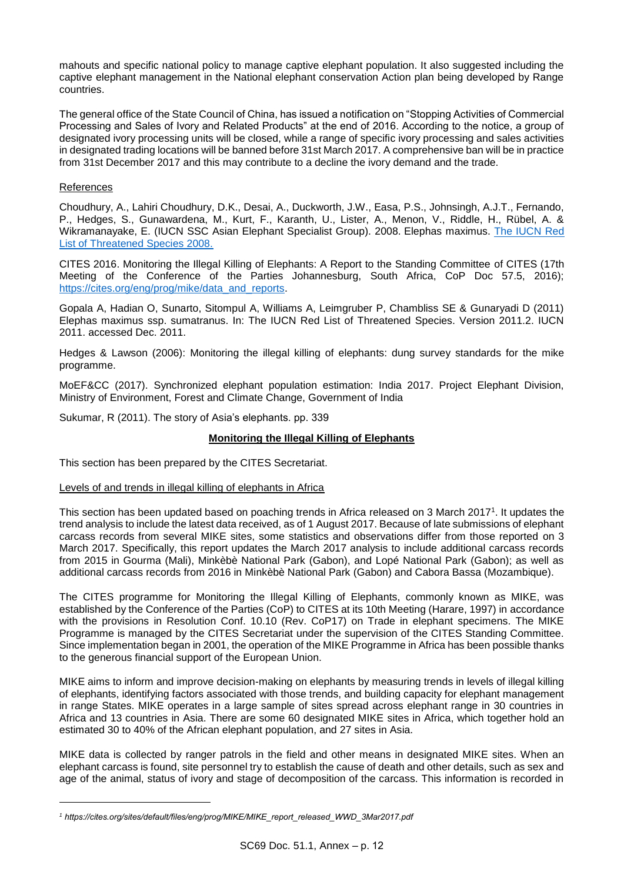mahouts and specific national policy to manage captive elephant population. It also suggested including the captive elephant management in the National elephant conservation Action plan being developed by Range countries.

The general office of the State Council of China, has issued a notification on "Stopping Activities of Commercial Processing and Sales of Ivory and Related Products" at the end of 2016. According to the notice, a group of designated ivory processing units will be closed, while a range of specific ivory processing and sales activities in designated trading locations will be banned before 31st March 2017. A comprehensive ban will be in practice from 31st December 2017 and this may contribute to a decline the ivory demand and the trade.

# **References**

-

Choudhury, A., Lahiri Choudhury, D.K., Desai, A., Duckworth, J.W., Easa, P.S., Johnsingh, A.J.T., Fernando, P., Hedges, S., Gunawardena, M., Kurt, F., Karanth, U., Lister, A., Menon, V., Riddle, H., Rübel, A. & Wikramanayake, E. (IUCN SSC Asian Elephant Specialist Group). 2008. Elephas maximus. [The IUCN Red](http://dx.doi.org/10.2305/IUCN.UK.2008.RLTS.T7140A12828813.en)  [List of Threatened Species 2008.](http://dx.doi.org/10.2305/IUCN.UK.2008.RLTS.T7140A12828813.en)

CITES 2016. Monitoring the Illegal Killing of Elephants: A Report to the Standing Committee of CITES (17th Meeting of the Conference of the Parties Johannesburg, South Africa, CoP Doc 57.5, 2016); [https://cites.org/eng/prog/mike/data\\_and\\_reports.](https://cites.org/eng/prog/mike/data_and_reports)

Gopala A, Hadian O, Sunarto, Sitompul A, Williams A, Leimgruber P, Chambliss SE & Gunaryadi D (2011) Elephas maximus ssp. sumatranus. In: The IUCN Red List of Threatened Species. Version 2011.2. IUCN 2011. accessed Dec. 2011.

Hedges & Lawson (2006): Monitoring the illegal killing of elephants: dung survey standards for the mike programme.

MoEF&CC (2017). Synchronized elephant population estimation: India 2017. Project Elephant Division, Ministry of Environment, Forest and Climate Change, Government of India

Sukumar, R (2011). The story of Asia's elephants. pp. 339

### **Monitoring the Illegal Killing of Elephants**

This section has been prepared by the CITES Secretariat.

#### Levels of and trends in illegal killing of elephants in Africa

This section has been updated based on poaching trends in Africa released on 3 March 2017<sup>1</sup> . It updates the trend analysis to include the latest data received, as of 1 August 2017. Because of late submissions of elephant carcass records from several MIKE sites, some statistics and observations differ from those reported on 3 March 2017. Specifically, this report updates the March 2017 analysis to include additional carcass records from 2015 in Gourma (Mali), Minkèbè National Park (Gabon), and Lopé National Park (Gabon); as well as additional carcass records from 2016 in Minkèbè National Park (Gabon) and Cabora Bassa (Mozambique).

The CITES programme for Monitoring the Illegal Killing of Elephants, commonly known as MIKE, was established by the Conference of the Parties (CoP) to CITES at its 10th Meeting (Harare, 1997) in accordance with the provisions in Resolution Conf. 10.10 (Rev. CoP17) on Trade in elephant specimens. The MIKE Programme is managed by the CITES Secretariat under the supervision of the CITES Standing Committee. Since implementation began in 2001, the operation of the MIKE Programme in Africa has been possible thanks to the generous financial support of the European Union.

MIKE aims to inform and improve decision-making on elephants by measuring trends in levels of illegal killing of elephants, identifying factors associated with those trends, and building capacity for elephant management in range States. MIKE operates in a large sample of sites spread across elephant range in 30 countries in Africa and 13 countries in Asia. There are some 60 designated MIKE sites in Africa, which together hold an estimated 30 to 40% of the African elephant population, and 27 sites in Asia.

MIKE data is collected by ranger patrols in the field and other means in designated MIKE sites. When an elephant carcass is found, site personnel try to establish the cause of death and other details, such as sex and age of the animal, status of ivory and stage of decomposition of the carcass. This information is recorded in

*<sup>1</sup> https://cites.org/sites/default/files/eng/prog/MIKE/MIKE\_report\_released\_WWD\_3Mar2017.pdf*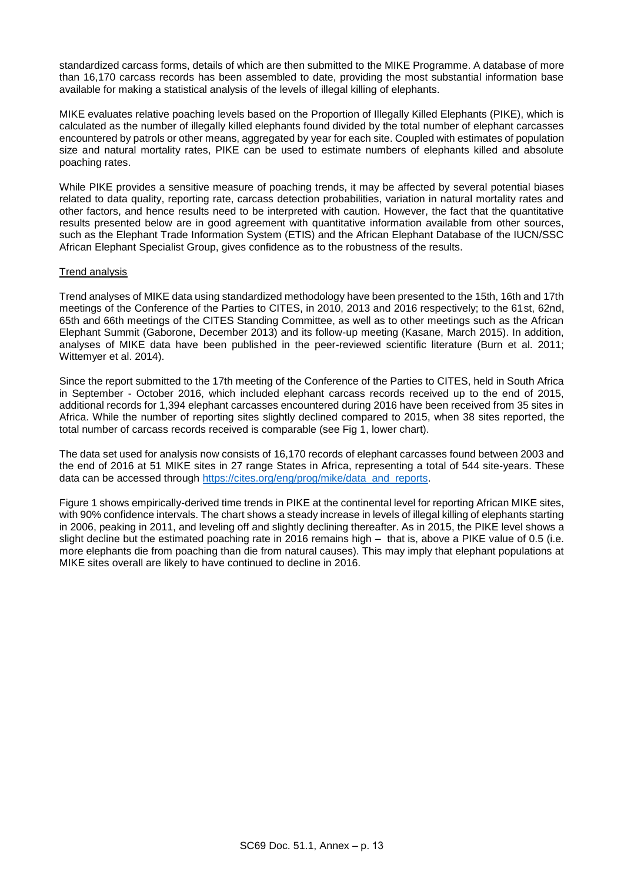standardized carcass forms, details of which are then submitted to the MIKE Programme. A database of more than 16,170 carcass records has been assembled to date, providing the most substantial information base available for making a statistical analysis of the levels of illegal killing of elephants.

MIKE evaluates relative poaching levels based on the Proportion of Illegally Killed Elephants (PIKE), which is calculated as the number of illegally killed elephants found divided by the total number of elephant carcasses encountered by patrols or other means, aggregated by year for each site. Coupled with estimates of population size and natural mortality rates, PIKE can be used to estimate numbers of elephants killed and absolute poaching rates.

While PIKE provides a sensitive measure of poaching trends, it may be affected by several potential biases related to data quality, reporting rate, carcass detection probabilities, variation in natural mortality rates and other factors, and hence results need to be interpreted with caution. However, the fact that the quantitative results presented below are in good agreement with quantitative information available from other sources, such as the Elephant Trade Information System (ETIS) and the African Elephant Database of the IUCN/SSC African Elephant Specialist Group, gives confidence as to the robustness of the results.

### Trend analysis

Trend analyses of MIKE data using standardized methodology have been presented to the 15th, 16th and 17th meetings of the Conference of the Parties to CITES, in 2010, 2013 and 2016 respectively; to the 61st, 62nd, 65th and 66th meetings of the CITES Standing Committee, as well as to other meetings such as the African Elephant Summit (Gaborone, December 2013) and its follow-up meeting (Kasane, March 2015). In addition, analyses of MIKE data have been published in the peer-reviewed scientific literature (Burn et al. 2011; Wittemyer et al. 2014).

Since the report submitted to the 17th meeting of the Conference of the Parties to CITES, held in South Africa in September - October 2016, which included elephant carcass records received up to the end of 2015, additional records for 1,394 elephant carcasses encountered during 2016 have been received from 35 sites in Africa. While the number of reporting sites slightly declined compared to 2015, when 38 sites reported, the total number of carcass records received is comparable (see Fig 1, lower chart).

The data set used for analysis now consists of 16,170 records of elephant carcasses found between 2003 and the end of 2016 at 51 MIKE sites in 27 range States in Africa, representing a total of 544 site-years. These data can be accessed through [https://cites.org/eng/prog/mike/data\\_and\\_reports.](https://cites.org/eng/prog/mike/data_and_reports)

Figure 1 shows empirically-derived time trends in PIKE at the continental level for reporting African MIKE sites, with 90% confidence intervals. The chart shows a steady increase in levels of illegal killing of elephants starting in 2006, peaking in 2011, and leveling off and slightly declining thereafter. As in 2015, the PIKE level shows a slight decline but the estimated poaching rate in 2016 remains high – that is, above a PIKE value of 0.5 (i.e. more elephants die from poaching than die from natural causes). This may imply that elephant populations at MIKE sites overall are likely to have continued to decline in 2016.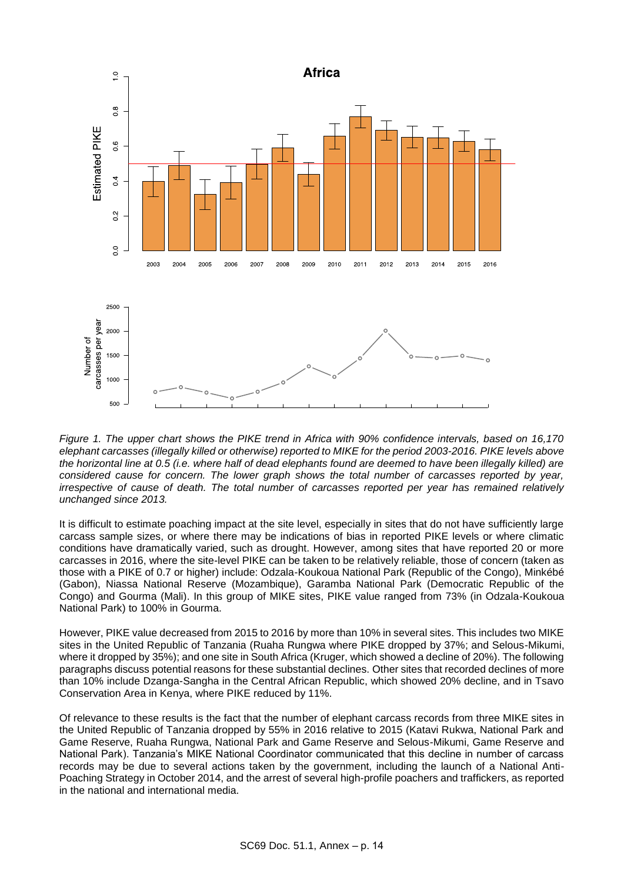

*Figure 1. The upper chart shows the PIKE trend in Africa with 90% confidence intervals, based on 16,170 elephant carcasses (illegally killed or otherwise) reported to MIKE for the period 2003-2016. PIKE levels above the horizontal line at 0.5 (i.e. where half of dead elephants found are deemed to have been illegally killed) are considered cause for concern. The lower graph shows the total number of carcasses reported by year, irrespective of cause of death. The total number of carcasses reported per year has remained relatively unchanged since 2013.*

It is difficult to estimate poaching impact at the site level, especially in sites that do not have sufficiently large carcass sample sizes, or where there may be indications of bias in reported PIKE levels or where climatic conditions have dramatically varied, such as drought. However, among sites that have reported 20 or more carcasses in 2016, where the site-level PIKE can be taken to be relatively reliable, those of concern (taken as those with a PIKE of 0.7 or higher) include: Odzala-Koukoua National Park (Republic of the Congo), Minkébé (Gabon), Niassa National Reserve (Mozambique), Garamba National Park (Democratic Republic of the Congo) and Gourma (Mali). In this group of MIKE sites, PIKE value ranged from 73% (in Odzala-Koukoua National Park) to 100% in Gourma.

However, PIKE value decreased from 2015 to 2016 by more than 10% in several sites. This includes two MIKE sites in the United Republic of Tanzania (Ruaha Rungwa where PIKE dropped by 37%; and Selous-Mikumi, where it dropped by 35%); and one site in South Africa (Kruger, which showed a decline of 20%). The following paragraphs discuss potential reasons for these substantial declines. Other sites that recorded declines of more than 10% include Dzanga-Sangha in the Central African Republic, which showed 20% decline, and in Tsavo Conservation Area in Kenya, where PIKE reduced by 11%.

Of relevance to these results is the fact that the number of elephant carcass records from three MIKE sites in the United Republic of Tanzania dropped by 55% in 2016 relative to 2015 (Katavi Rukwa, National Park and Game Reserve, Ruaha Rungwa, National Park and Game Reserve and Selous-Mikumi, Game Reserve and National Park). Tanzania's MIKE National Coordinator communicated that this decline in number of carcass records may be due to several actions taken by the government, including the launch of a National Anti-Poaching Strategy in October 2014, and the arrest of several high-profile poachers and traffickers, as reported in the national and international media.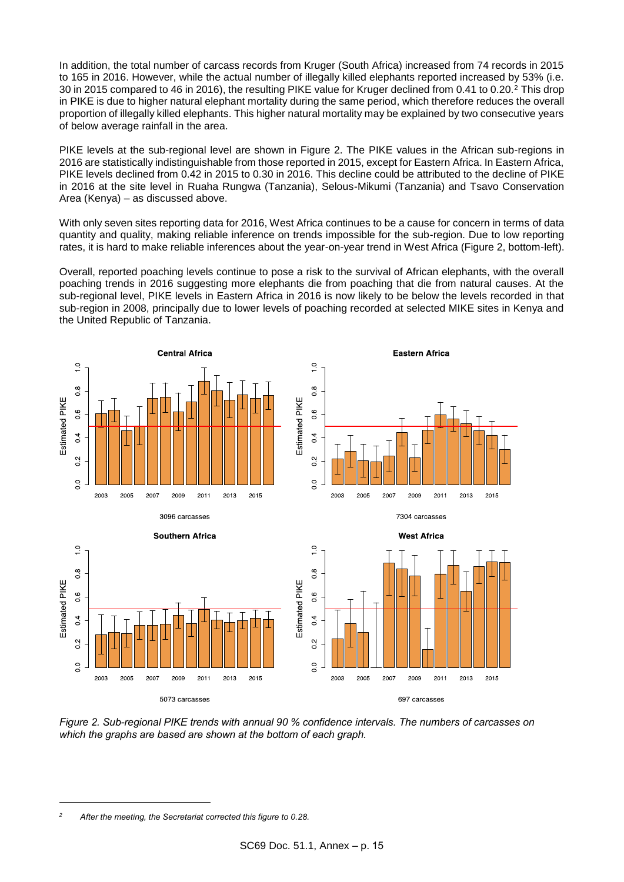In addition, the total number of carcass records from Kruger (South Africa) increased from 74 records in 2015 to 165 in 2016. However, while the actual number of illegally killed elephants reported increased by 53% (i.e. 30 in 2015 compared to 46 in 2016), the resulting PIKE value for Kruger declined from 0.41 to 0.20.<sup>2</sup> This drop in PIKE is due to higher natural elephant mortality during the same period, which therefore reduces the overall proportion of illegally killed elephants. This higher natural mortality may be explained by two consecutive years of below average rainfall in the area.

PIKE levels at the sub-regional level are shown in Figure 2. The PIKE values in the African sub-regions in 2016 are statistically indistinguishable from those reported in 2015, except for Eastern Africa. In Eastern Africa, PIKE levels declined from 0.42 in 2015 to 0.30 in 2016. This decline could be attributed to the decline of PIKE in 2016 at the site level in Ruaha Rungwa (Tanzania), Selous-Mikumi (Tanzania) and Tsavo Conservation Area (Kenya) – as discussed above.

With only seven sites reporting data for 2016, West Africa continues to be a cause for concern in terms of data quantity and quality, making reliable inference on trends impossible for the sub-region. Due to low reporting rates, it is hard to make reliable inferences about the year-on-year trend in West Africa (Figure 2, bottom-left).

Overall, reported poaching levels continue to pose a risk to the survival of African elephants, with the overall poaching trends in 2016 suggesting more elephants die from poaching that die from natural causes. At the sub-regional level, PIKE levels in Eastern Africa in 2016 is now likely to be below the levels recorded in that sub-region in 2008, principally due to lower levels of poaching recorded at selected MIKE sites in Kenya and the United Republic of Tanzania.



*Figure 2. Sub-regional PIKE trends with annual 90 % confidence intervals. The numbers of carcasses on which the graphs are based are shown at the bottom of each graph.*

-

*<sup>2</sup> After the meeting, the Secretariat corrected this figure to 0.28.*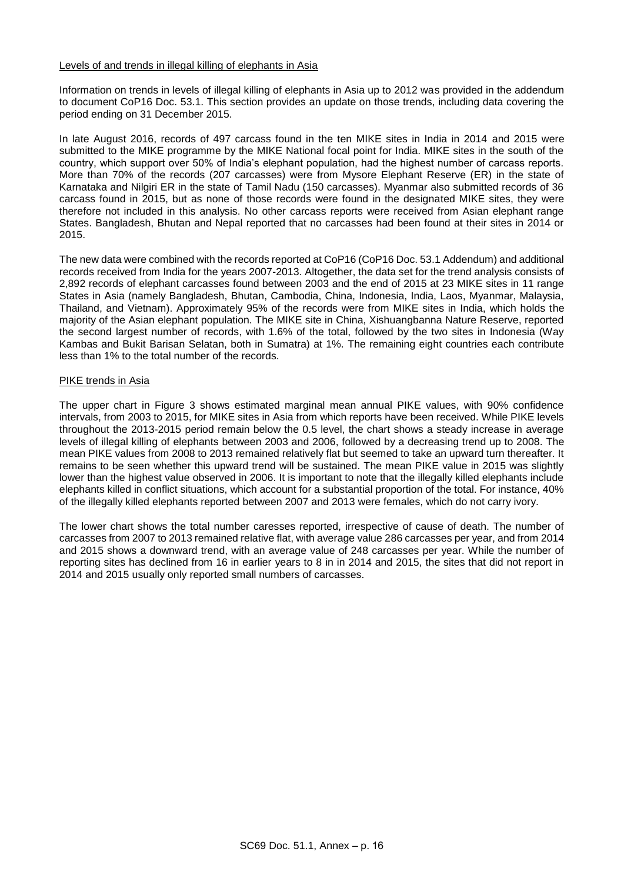#### Levels of and trends in illegal killing of elephants in Asia

Information on trends in levels of illegal killing of elephants in Asia up to 2012 was provided in the addendum to document CoP16 Doc. 53.1. This section provides an update on those trends, including data covering the period ending on 31 December 2015.

In late August 2016, records of 497 carcass found in the ten MIKE sites in India in 2014 and 2015 were submitted to the MIKE programme by the MIKE National focal point for India. MIKE sites in the south of the country, which support over 50% of India's elephant population, had the highest number of carcass reports. More than 70% of the records (207 carcasses) were from Mysore Elephant Reserve (ER) in the state of Karnataka and Nilgiri ER in the state of Tamil Nadu (150 carcasses). Myanmar also submitted records of 36 carcass found in 2015, but as none of those records were found in the designated MIKE sites, they were therefore not included in this analysis. No other carcass reports were received from Asian elephant range States. Bangladesh, Bhutan and Nepal reported that no carcasses had been found at their sites in 2014 or 2015.

The new data were combined with the records reported at CoP16 (CoP16 Doc. 53.1 Addendum) and additional records received from India for the years 2007-2013. Altogether, the data set for the trend analysis consists of 2,892 records of elephant carcasses found between 2003 and the end of 2015 at 23 MIKE sites in 11 range States in Asia (namely Bangladesh, Bhutan, Cambodia, China, Indonesia, India, Laos, Myanmar, Malaysia, Thailand, and Vietnam). Approximately 95% of the records were from MIKE sites in India, which holds the majority of the Asian elephant population. The MIKE site in China, Xishuangbanna Nature Reserve, reported the second largest number of records, with 1.6% of the total, followed by the two sites in Indonesia (Way Kambas and Bukit Barisan Selatan, both in Sumatra) at 1%. The remaining eight countries each contribute less than 1% to the total number of the records.

#### PIKE trends in Asia

The upper chart in Figure 3 shows estimated marginal mean annual PIKE values, with 90% confidence intervals, from 2003 to 2015, for MIKE sites in Asia from which reports have been received. While PIKE levels throughout the 2013-2015 period remain below the 0.5 level, the chart shows a steady increase in average levels of illegal killing of elephants between 2003 and 2006, followed by a decreasing trend up to 2008. The mean PIKE values from 2008 to 2013 remained relatively flat but seemed to take an upward turn thereafter. It remains to be seen whether this upward trend will be sustained. The mean PIKE value in 2015 was slightly lower than the highest value observed in 2006. It is important to note that the illegally killed elephants include elephants killed in conflict situations, which account for a substantial proportion of the total. For instance, 40% of the illegally killed elephants reported between 2007 and 2013 were females, which do not carry ivory.

The lower chart shows the total number caresses reported, irrespective of cause of death. The number of carcasses from 2007 to 2013 remained relative flat, with average value 286 carcasses per year, and from 2014 and 2015 shows a downward trend, with an average value of 248 carcasses per year. While the number of reporting sites has declined from 16 in earlier years to 8 in in 2014 and 2015, the sites that did not report in 2014 and 2015 usually only reported small numbers of carcasses.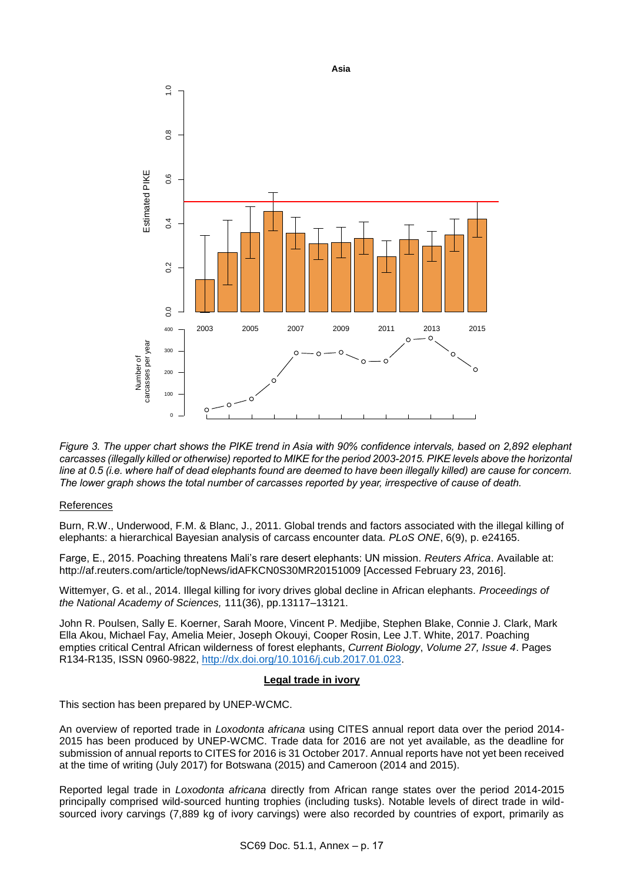

*Figure 3. The upper chart shows the PIKE trend in Asia with 90% confidence intervals, based on 2,892 elephant carcasses (illegally killed or otherwise) reported to MIKE for the period 2003-2015. PIKE levels above the horizontal*  line at 0.5 (i.e. where half of dead elephants found are deemed to have been illegally killed) are cause for concern. *The lower graph shows the total number of carcasses reported by year, irrespective of cause of death.* 

#### References

Burn, R.W., Underwood, F.M. & Blanc, J., 2011. Global trends and factors associated with the illegal killing of elephants: a hierarchical Bayesian analysis of carcass encounter data*. PLoS ONE*, 6(9), p. e24165.

Farge, E., 2015. Poaching threatens Mali's rare desert elephants: UN mission. *Reuters Africa*. Available at: http://af.reuters.com/article/topNews/idAFKCN0S30MR20151009 [Accessed February 23, 2016].

Wittemyer, G. et al., 2014. Illegal killing for ivory drives global decline in African elephants. *Proceedings of the National Academy of Sciences,* 111(36), pp.13117–13121.

John R. Poulsen, Sally E. Koerner, Sarah Moore, Vincent P. Medjibe, Stephen Blake, Connie J. Clark, Mark Ella Akou, Michael Fay, Amelia Meier, Joseph Okouyi, Cooper Rosin, Lee J.T. White, 2017. Poaching empties critical Central African wilderness of forest elephants, *Current Biology*, *Volume 27, Issue 4*. Pages R134-R135, ISSN 0960-9822, [http://dx.doi.org/10.1016/j.cub.2017.01.023.](http://dx.doi.org/10.1016/j.cub.2017.01.023)

#### **Legal trade in ivory**

This section has been prepared by UNEP-WCMC.

An overview of reported trade in *Loxodonta africana* using CITES annual report data over the period 2014- 2015 has been produced by UNEP-WCMC. Trade data for 2016 are not yet available, as the deadline for submission of annual reports to CITES for 2016 is 31 October 2017. Annual reports have not yet been received at the time of writing (July 2017) for Botswana (2015) and Cameroon (2014 and 2015).

Reported legal trade in *Loxodonta africana* directly from African range states over the period 2014-2015 principally comprised wild-sourced hunting trophies (including tusks). Notable levels of direct trade in wildsourced ivory carvings (7,889 kg of ivory carvings) were also recorded by countries of export, primarily as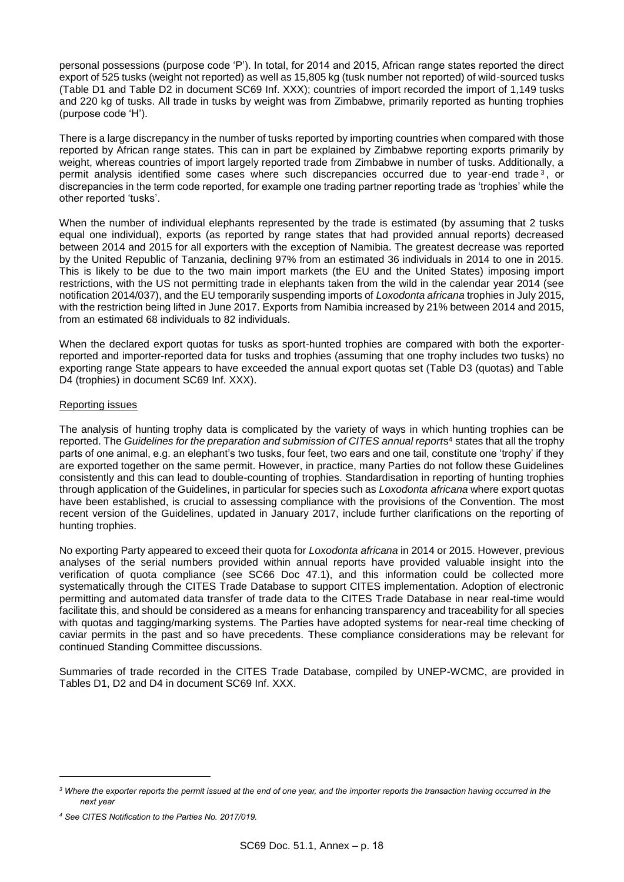personal possessions (purpose code 'P'). In total, for 2014 and 2015, African range states reported the direct export of 525 tusks (weight not reported) as well as 15,805 kg (tusk number not reported) of wild-sourced tusks (Table D1 and Table D2 in document SC69 Inf. XXX); countries of import recorded the import of 1,149 tusks and 220 kg of tusks. All trade in tusks by weight was from Zimbabwe, primarily reported as hunting trophies (purpose code 'H').

There is a large discrepancy in the number of tusks reported by importing countries when compared with those reported by African range states. This can in part be explained by Zimbabwe reporting exports primarily by weight, whereas countries of import largely reported trade from Zimbabwe in number of tusks. Additionally, a permit analysis identified some cases where such discrepancies occurred due to year-end trade<sup>3</sup>, or discrepancies in the term code reported, for example one trading partner reporting trade as 'trophies' while the other reported 'tusks'.

When the number of individual elephants represented by the trade is estimated (by assuming that 2 tusks equal one individual), exports (as reported by range states that had provided annual reports) decreased between 2014 and 2015 for all exporters with the exception of Namibia. The greatest decrease was reported by the United Republic of Tanzania, declining 97% from an estimated 36 individuals in 2014 to one in 2015. This is likely to be due to the two main import markets (the EU and the United States) imposing import restrictions, with the US not permitting trade in elephants taken from the wild in the calendar year 2014 (see notification 2014/037), and the EU temporarily suspending imports of *Loxodonta africana* trophies in July 2015, with the restriction being lifted in June 2017. Exports from Namibia increased by 21% between 2014 and 2015, from an estimated 68 individuals to 82 individuals.

When the declared export quotas for tusks as sport-hunted trophies are compared with both the exporterreported and importer-reported data for tusks and trophies (assuming that one trophy includes two tusks) no exporting range State appears to have exceeded the annual export quotas set (Table D3 (quotas) and Table D4 (trophies) in document SC69 Inf. XXX).

#### Reporting issues

The analysis of hunting trophy data is complicated by the variety of ways in which hunting trophies can be reported. The *Guidelines for the preparation and submission of CITES annual report*s <sup>4</sup> states that all the trophy parts of one animal, e.g. an elephant's two tusks, four feet, two ears and one tail, constitute one 'trophy' if they are exported together on the same permit. However, in practice, many Parties do not follow these Guidelines consistently and this can lead to double-counting of trophies. Standardisation in reporting of hunting trophies through application of the Guidelines, in particular for species such as *Loxodonta africana* where export quotas have been established, is crucial to assessing compliance with the provisions of the Convention. The most recent version of the Guidelines, updated in January 2017, include further clarifications on the reporting of hunting trophies.

No exporting Party appeared to exceed their quota for *Loxodonta africana* in 2014 or 2015. However, previous analyses of the serial numbers provided within annual reports have provided valuable insight into the verification of quota compliance (see SC66 Doc 47.1), and this information could be collected more systematically through the CITES Trade Database to support CITES implementation. Adoption of electronic permitting and automated data transfer of trade data to the CITES Trade Database in near real-time would facilitate this, and should be considered as a means for enhancing transparency and traceability for all species with quotas and tagging/marking systems. The Parties have adopted systems for near-real time checking of caviar permits in the past and so have precedents. These compliance considerations may be relevant for continued Standing Committee discussions.

Summaries of trade recorded in the CITES Trade Database, compiled by UNEP-WCMC, are provided in Tables D1, D2 and D4 in document SC69 Inf. XXX.

1

*<sup>3</sup> Where the exporter reports the permit issued at the end of one year, and the importer reports the transaction having occurred in the next year*

*<sup>4</sup> See CITES Notification to the Parties No. 2017/019.*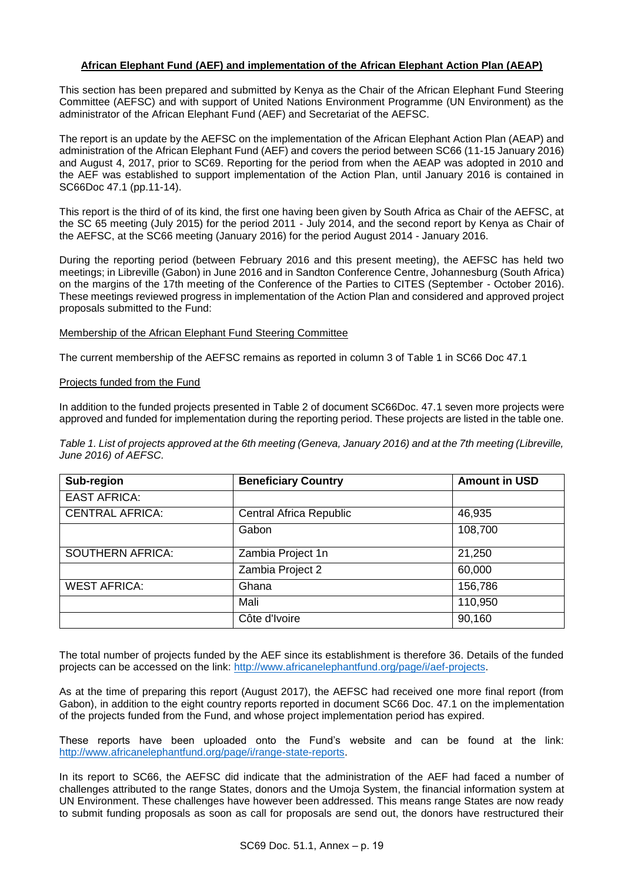# **African Elephant Fund (AEF) and implementation of the African Elephant Action Plan (AEAP)**

This section has been prepared and submitted by Kenya as the Chair of the African Elephant Fund Steering Committee (AEFSC) and with support of United Nations Environment Programme (UN Environment) as the administrator of the African Elephant Fund (AEF) and Secretariat of the AEFSC.

The report is an update by the AEFSC on the implementation of the African Elephant Action Plan (AEAP) and administration of the African Elephant Fund (AEF) and covers the period between SC66 (11-15 January 2016) and August 4, 2017, prior to SC69. Reporting for the period from when the AEAP was adopted in 2010 and the AEF was established to support implementation of the Action Plan, until January 2016 is contained in SC66Doc 47.1 (pp.11-14).

This report is the third of of its kind, the first one having been given by South Africa as Chair of the AEFSC, at the SC 65 meeting (July 2015) for the period 2011 - July 2014, and the second report by Kenya as Chair of the AEFSC, at the SC66 meeting (January 2016) for the period August 2014 - January 2016.

During the reporting period (between February 2016 and this present meeting), the AEFSC has held two meetings; in Libreville (Gabon) in June 2016 and in Sandton Conference Centre, Johannesburg (South Africa) on the margins of the 17th meeting of the Conference of the Parties to CITES (September - October 2016). These meetings reviewed progress in implementation of the Action Plan and considered and approved project proposals submitted to the Fund:

#### Membership of the African Elephant Fund Steering Committee

The current membership of the AEFSC remains as reported in column 3 of Table 1 in SC66 Doc 47.1

#### Projects funded from the Fund

In addition to the funded projects presented in Table 2 of document SC66Doc. 47.1 seven more projects were approved and funded for implementation during the reporting period. These projects are listed in the table one.

*Table 1. List of projects approved at the 6th meeting (Geneva, January 2016) and at the 7th meeting (Libreville, June 2016) of AEFSC.*

| Sub-region              | <b>Beneficiary Country</b> | <b>Amount in USD</b> |  |
|-------------------------|----------------------------|----------------------|--|
| <b>EAST AFRICA:</b>     |                            |                      |  |
| <b>CENTRAL AFRICA:</b>  | Central Africa Republic    | 46,935               |  |
|                         | Gabon                      | 108,700              |  |
| <b>SOUTHERN AFRICA:</b> | Zambia Project 1n          | 21,250               |  |
|                         | Zambia Project 2           | 60,000               |  |
| <b>WEST AFRICA:</b>     | Ghana                      | 156,786              |  |
|                         | Mali                       | 110,950              |  |
|                         | Côte d'Ivoire              | 90,160               |  |

The total number of projects funded by the AEF since its establishment is therefore 36. Details of the funded projects can be accessed on the link: [http://www.africanelephantfund.org/page/i/aef-projects.](http://www.africanelephantfund.org/page/i/aef-projects)

As at the time of preparing this report (August 2017), the AEFSC had received one more final report (from Gabon), in addition to the eight country reports reported in document SC66 Doc. 47.1 on the implementation of the projects funded from the Fund, and whose project implementation period has expired.

These reports have been uploaded onto the Fund's website and can be found at the link: [http://www.africanelephantfund.org/page/i/range-state-reports.](http://www.africanelephantfund.org/page/i/range-state-reports)

In its report to SC66, the AEFSC did indicate that the administration of the AEF had faced a number of challenges attributed to the range States, donors and the Umoja System, the financial information system at UN Environment. These challenges have however been addressed. This means range States are now ready to submit funding proposals as soon as call for proposals are send out, the donors have restructured their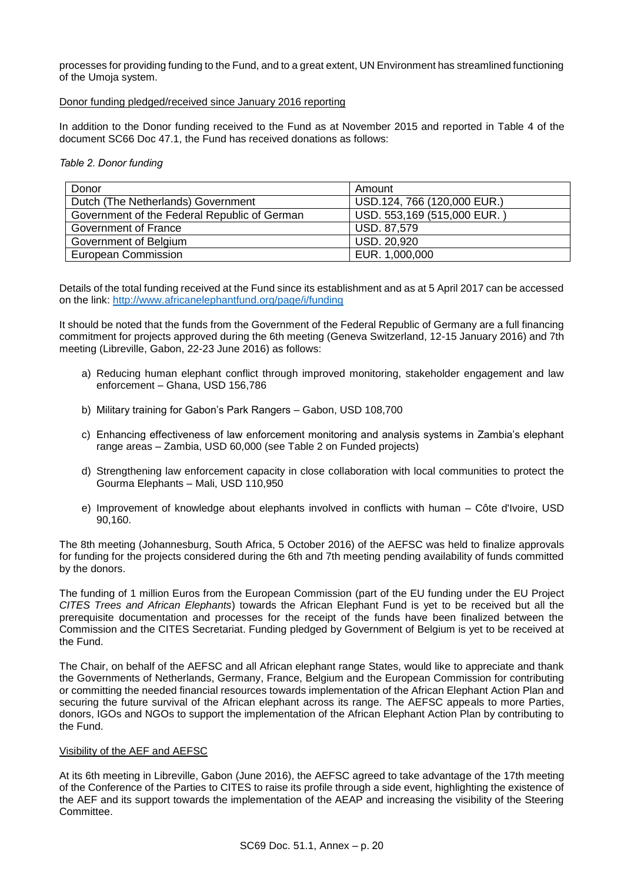processes for providing funding to the Fund, and to a great extent, UN Environment has streamlined functioning of the Umoja system.

### Donor funding pledged/received since January 2016 reporting

In addition to the Donor funding received to the Fund as at November 2015 and reported in Table 4 of the document SC66 Doc 47.1, the Fund has received donations as follows:

#### *Table 2. Donor funding*

| Donor                                        | Amount                      |
|----------------------------------------------|-----------------------------|
| Dutch (The Netherlands) Government           | USD.124, 766 (120,000 EUR.) |
| Government of the Federal Republic of German | USD. 553,169 (515,000 EUR.) |
| <b>Government of France</b>                  | <b>USD. 87,579</b>          |
| Government of Belgium                        | USD. 20,920                 |
| <b>European Commission</b>                   | EUR. 1,000,000              |

Details of the total funding received at the Fund since its establishment and as at 5 April 2017 can be accessed on the link:<http://www.africanelephantfund.org/page/i/funding>

It should be noted that the funds from the Government of the Federal Republic of Germany are a full financing commitment for projects approved during the 6th meeting (Geneva Switzerland, 12-15 January 2016) and 7th meeting (Libreville, Gabon, 22-23 June 2016) as follows:

- a) Reducing human elephant conflict through improved monitoring, stakeholder engagement and law enforcement – Ghana, USD 156,786
- b) Military training for Gabon's Park Rangers Gabon, USD 108,700
- c) Enhancing effectiveness of law enforcement monitoring and analysis systems in Zambia's elephant range areas – Zambia, USD 60,000 (see Table 2 on Funded projects)
- d) Strengthening law enforcement capacity in close collaboration with local communities to protect the Gourma Elephants – Mali, USD 110,950
- e) Improvement of knowledge about elephants involved in conflicts with human Côte d'Ivoire, USD 90,160.

The 8th meeting (Johannesburg, South Africa, 5 October 2016) of the AEFSC was held to finalize approvals for funding for the projects considered during the 6th and 7th meeting pending availability of funds committed by the donors.

The funding of 1 million Euros from the European Commission (part of the EU funding under the EU Project *CITES Trees and African Elephants*) towards the African Elephant Fund is yet to be received but all the prerequisite documentation and processes for the receipt of the funds have been finalized between the Commission and the CITES Secretariat. Funding pledged by Government of Belgium is yet to be received at the Fund.

The Chair, on behalf of the AEFSC and all African elephant range States, would like to appreciate and thank the Governments of Netherlands, Germany, France, Belgium and the European Commission for contributing or committing the needed financial resources towards implementation of the African Elephant Action Plan and securing the future survival of the African elephant across its range. The AEFSC appeals to more Parties, donors, IGOs and NGOs to support the implementation of the African Elephant Action Plan by contributing to the Fund.

### Visibility of the AEF and AEFSC

At its 6th meeting in Libreville, Gabon (June 2016), the AEFSC agreed to take advantage of the 17th meeting of the Conference of the Parties to CITES to raise its profile through a side event, highlighting the existence of the AEF and its support towards the implementation of the AEAP and increasing the visibility of the Steering Committee.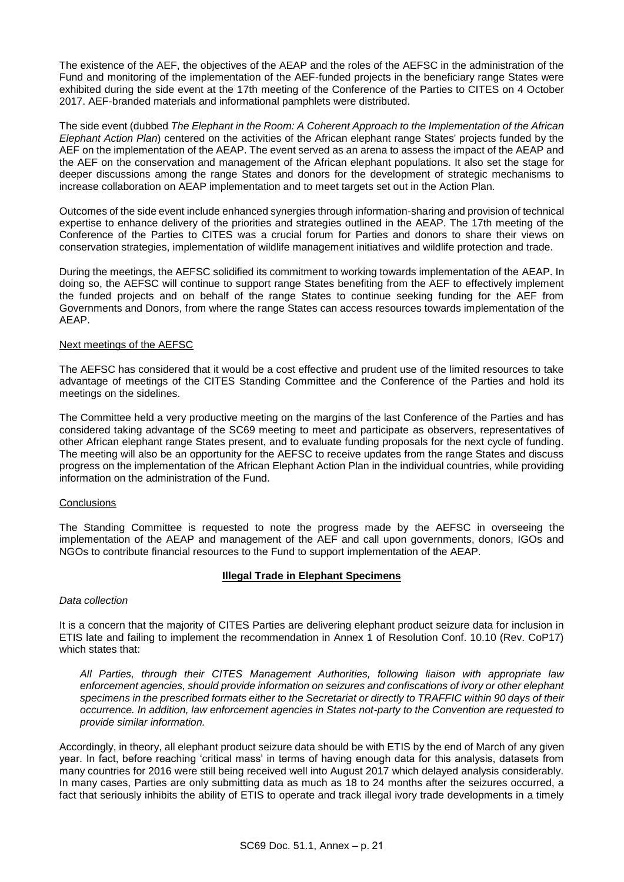The existence of the AEF, the objectives of the AEAP and the roles of the AEFSC in the administration of the Fund and monitoring of the implementation of the AEF-funded projects in the beneficiary range States were exhibited during the side event at the 17th meeting of the Conference of the Parties to CITES on 4 October 2017. AEF-branded materials and informational pamphlets were distributed.

The side event (dubbed *The Elephant in the Room: A Coherent Approach to the Implementation of the African Elephant Action Plan*) centered on the activities of the African elephant range States' projects funded by the AEF on the implementation of the AEAP. The event served as an arena to assess the impact of the AEAP and the AEF on the conservation and management of the African elephant populations. It also set the stage for deeper discussions among the range States and donors for the development of strategic mechanisms to increase collaboration on AEAP implementation and to meet targets set out in the Action Plan.

Outcomes of the side event include enhanced synergies through information-sharing and provision of technical expertise to enhance delivery of the priorities and strategies outlined in the AEAP. The 17th meeting of the Conference of the Parties to CITES was a crucial forum for Parties and donors to share their views on conservation strategies, implementation of wildlife management initiatives and wildlife protection and trade.

During the meetings, the AEFSC solidified its commitment to working towards implementation of the AEAP. In doing so, the AEFSC will continue to support range States benefiting from the AEF to effectively implement the funded projects and on behalf of the range States to continue seeking funding for the AEF from Governments and Donors, from where the range States can access resources towards implementation of the AEAP.

### Next meetings of the AEFSC

The AEFSC has considered that it would be a cost effective and prudent use of the limited resources to take advantage of meetings of the CITES Standing Committee and the Conference of the Parties and hold its meetings on the sidelines.

The Committee held a very productive meeting on the margins of the last Conference of the Parties and has considered taking advantage of the SC69 meeting to meet and participate as observers, representatives of other African elephant range States present, and to evaluate funding proposals for the next cycle of funding. The meeting will also be an opportunity for the AEFSC to receive updates from the range States and discuss progress on the implementation of the African Elephant Action Plan in the individual countries, while providing information on the administration of the Fund.

#### **Conclusions**

The Standing Committee is requested to note the progress made by the AEFSC in overseeing the implementation of the AEAP and management of the AEF and call upon governments, donors, IGOs and NGOs to contribute financial resources to the Fund to support implementation of the AEAP.

# **Illegal Trade in Elephant Specimens**

#### *Data collection*

It is a concern that the majority of CITES Parties are delivering elephant product seizure data for inclusion in ETIS late and failing to implement the recommendation in Annex 1 of Resolution Conf. 10.10 (Rev. CoP17) which states that:

*All Parties, through their CITES Management Authorities, following liaison with appropriate law enforcement agencies, should provide information on seizures and confiscations of ivory or other elephant specimens in the prescribed formats either to the Secretariat or directly to TRAFFIC within 90 days of their occurrence. In addition, law enforcement agencies in States not-party to the Convention are requested to provide similar information.*

Accordingly, in theory, all elephant product seizure data should be with ETIS by the end of March of any given year. In fact, before reaching 'critical mass' in terms of having enough data for this analysis, datasets from many countries for 2016 were still being received well into August 2017 which delayed analysis considerably. In many cases, Parties are only submitting data as much as 18 to 24 months after the seizures occurred, a fact that seriously inhibits the ability of ETIS to operate and track illegal ivory trade developments in a timely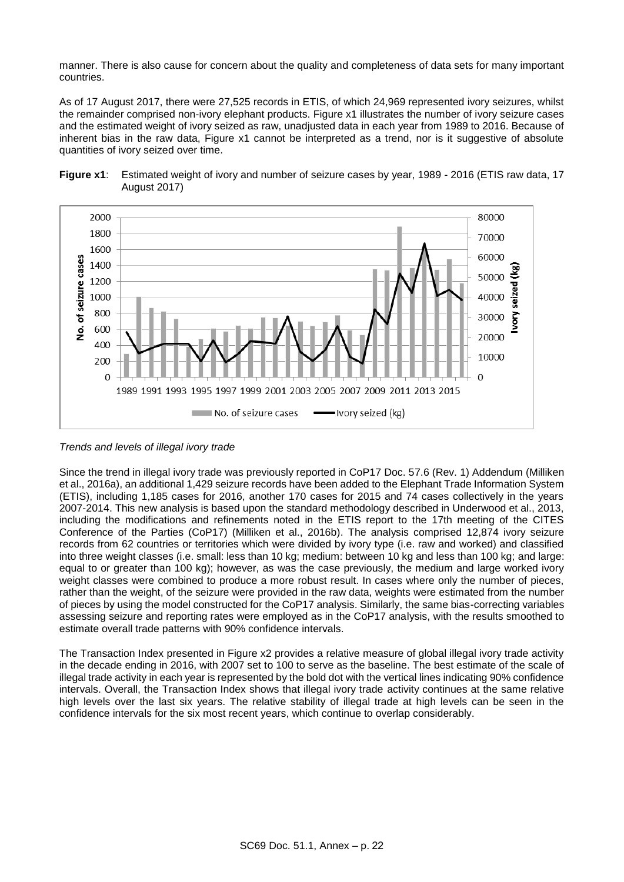manner. There is also cause for concern about the quality and completeness of data sets for many important countries.

As of 17 August 2017, there were 27,525 records in ETIS, of which 24,969 represented ivory seizures, whilst the remainder comprised non-ivory elephant products. Figure x1 illustrates the number of ivory seizure cases and the estimated weight of ivory seized as raw, unadjusted data in each year from 1989 to 2016. Because of inherent bias in the raw data, Figure x1 cannot be interpreted as a trend, nor is it suggestive of absolute quantities of ivory seized over time.





# *Trends and levels of illegal ivory trade*

Since the trend in illegal ivory trade was previously reported in CoP17 Doc. 57.6 (Rev. 1) Addendum (Milliken et al., 2016a), an additional 1,429 seizure records have been added to the Elephant Trade Information System (ETIS), including 1,185 cases for 2016, another 170 cases for 2015 and 74 cases collectively in the years 2007-2014. This new analysis is based upon the standard methodology described in Underwood et al., 2013, including the modifications and refinements noted in the ETIS report to the 17th meeting of the CITES Conference of the Parties (CoP17) (Milliken et al., 2016b). The analysis comprised 12,874 ivory seizure records from 62 countries or territories which were divided by ivory type (i.e. raw and worked) and classified into three weight classes (i.e. small: less than 10 kg; medium: between 10 kg and less than 100 kg; and large: equal to or greater than 100 kg); however, as was the case previously, the medium and large worked ivory weight classes were combined to produce a more robust result. In cases where only the number of pieces, rather than the weight, of the seizure were provided in the raw data, weights were estimated from the number of pieces by using the model constructed for the CoP17 analysis. Similarly, the same bias-correcting variables assessing seizure and reporting rates were employed as in the CoP17 analysis, with the results smoothed to estimate overall trade patterns with 90% confidence intervals.

The Transaction Index presented in Figure x2 provides a relative measure of global illegal ivory trade activity in the decade ending in 2016, with 2007 set to 100 to serve as the baseline. The best estimate of the scale of illegal trade activity in each year is represented by the bold dot with the vertical lines indicating 90% confidence intervals. Overall, the Transaction Index shows that illegal ivory trade activity continues at the same relative high levels over the last six years. The relative stability of illegal trade at high levels can be seen in the confidence intervals for the six most recent years, which continue to overlap considerably.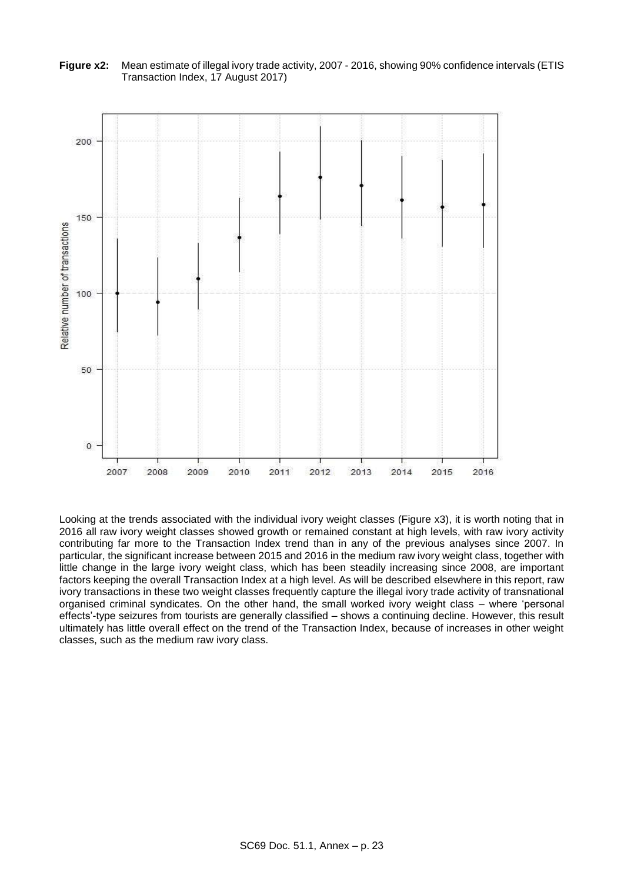



Looking at the trends associated with the individual ivory weight classes (Figure x3), it is worth noting that in 2016 all raw ivory weight classes showed growth or remained constant at high levels, with raw ivory activity contributing far more to the Transaction Index trend than in any of the previous analyses since 2007. In particular, the significant increase between 2015 and 2016 in the medium raw ivory weight class, together with little change in the large ivory weight class, which has been steadily increasing since 2008, are important factors keeping the overall Transaction Index at a high level. As will be described elsewhere in this report, raw ivory transactions in these two weight classes frequently capture the illegal ivory trade activity of transnational organised criminal syndicates. On the other hand, the small worked ivory weight class – where 'personal effects'-type seizures from tourists are generally classified – shows a continuing decline. However, this result ultimately has little overall effect on the trend of the Transaction Index, because of increases in other weight classes, such as the medium raw ivory class.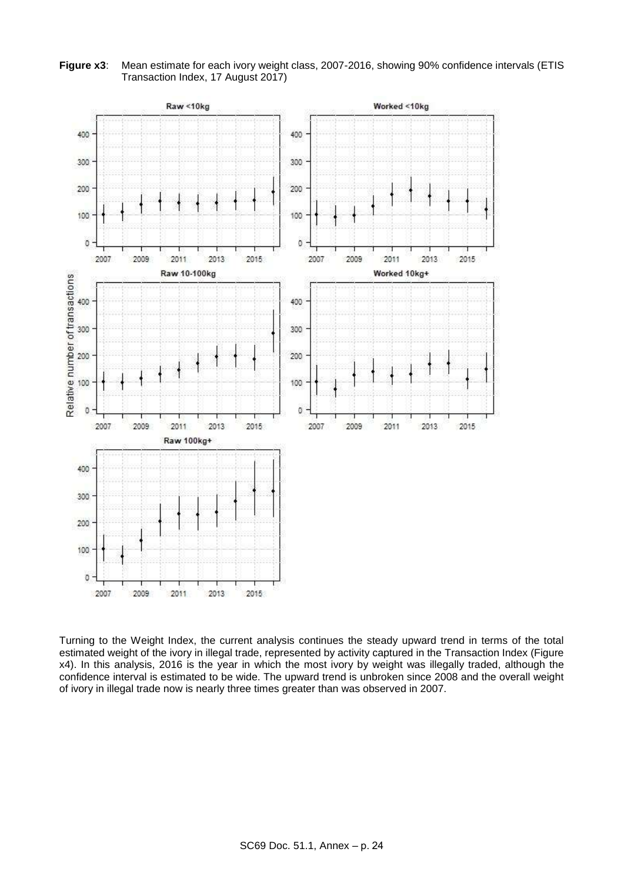

**Figure x3**: Mean estimate for each ivory weight class, 2007-2016, showing 90% confidence intervals (ETIS Transaction Index, 17 August 2017)

Turning to the Weight Index, the current analysis continues the steady upward trend in terms of the total estimated weight of the ivory in illegal trade, represented by activity captured in the Transaction Index (Figure x4). In this analysis, 2016 is the year in which the most ivory by weight was illegally traded, although the confidence interval is estimated to be wide. The upward trend is unbroken since 2008 and the overall weight of ivory in illegal trade now is nearly three times greater than was observed in 2007.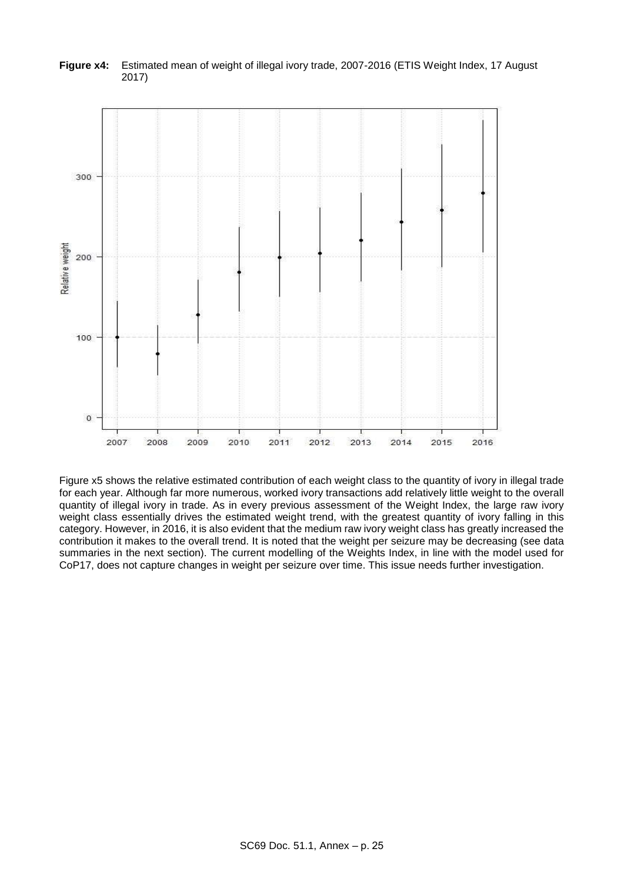

# **Figure x4:** Estimated mean of weight of illegal ivory trade, 2007-2016 (ETIS Weight Index, 17 August 2017)

Figure x5 shows the relative estimated contribution of each weight class to the quantity of ivory in illegal trade for each year. Although far more numerous, worked ivory transactions add relatively little weight to the overall quantity of illegal ivory in trade. As in every previous assessment of the Weight Index, the large raw ivory weight class essentially drives the estimated weight trend, with the greatest quantity of ivory falling in this category. However, in 2016, it is also evident that the medium raw ivory weight class has greatly increased the contribution it makes to the overall trend. It is noted that the weight per seizure may be decreasing (see data summaries in the next section). The current modelling of the Weights Index, in line with the model used for CoP17, does not capture changes in weight per seizure over time. This issue needs further investigation.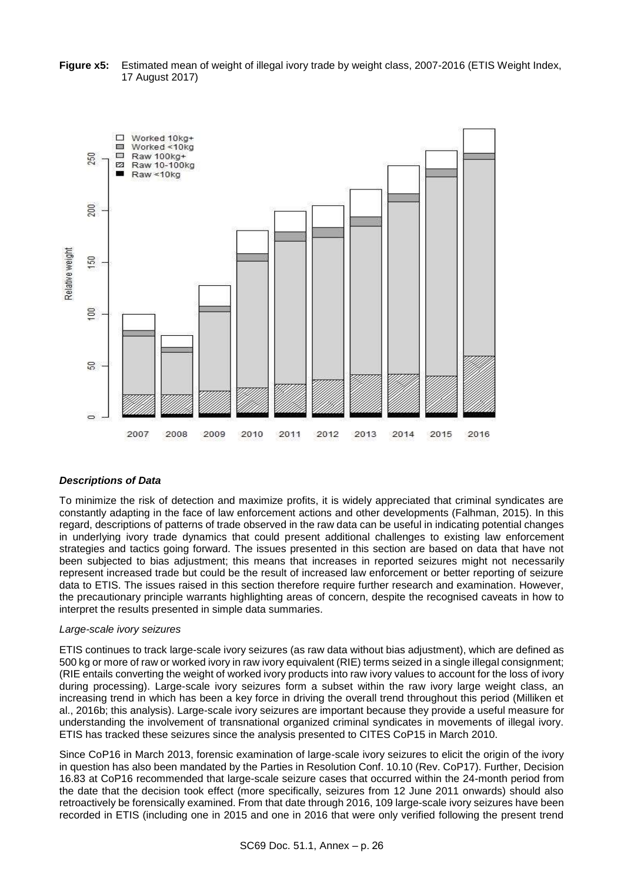



#### *Descriptions of Data*

To minimize the risk of detection and maximize profits, it is widely appreciated that criminal syndicates are constantly adapting in the face of law enforcement actions and other developments (Falhman, 2015). In this regard, descriptions of patterns of trade observed in the raw data can be useful in indicating potential changes in underlying ivory trade dynamics that could present additional challenges to existing law enforcement strategies and tactics going forward. The issues presented in this section are based on data that have not been subjected to bias adjustment; this means that increases in reported seizures might not necessarily represent increased trade but could be the result of increased law enforcement or better reporting of seizure data to ETIS. The issues raised in this section therefore require further research and examination. However, the precautionary principle warrants highlighting areas of concern, despite the recognised caveats in how to interpret the results presented in simple data summaries.

#### *Large-scale ivory seizures*

ETIS continues to track large-scale ivory seizures (as raw data without bias adjustment), which are defined as 500 kg or more of raw or worked ivory in raw ivory equivalent (RIE) terms seized in a single illegal consignment; (RIE entails converting the weight of worked ivory products into raw ivory values to account for the loss of ivory during processing). Large-scale ivory seizures form a subset within the raw ivory large weight class, an increasing trend in which has been a key force in driving the overall trend throughout this period (Milliken et al., 2016b; this analysis). Large-scale ivory seizures are important because they provide a useful measure for understanding the involvement of transnational organized criminal syndicates in movements of illegal ivory. ETIS has tracked these seizures since the analysis presented to CITES CoP15 in March 2010.

Since CoP16 in March 2013, forensic examination of large-scale ivory seizures to elicit the origin of the ivory in question has also been mandated by the Parties in Resolution Conf. 10.10 (Rev. CoP17). Further, Decision 16.83 at CoP16 recommended that large-scale seizure cases that occurred within the 24-month period from the date that the decision took effect (more specifically, seizures from 12 June 2011 onwards) should also retroactively be forensically examined. From that date through 2016, 109 large-scale ivory seizures have been recorded in ETIS (including one in 2015 and one in 2016 that were only verified following the present trend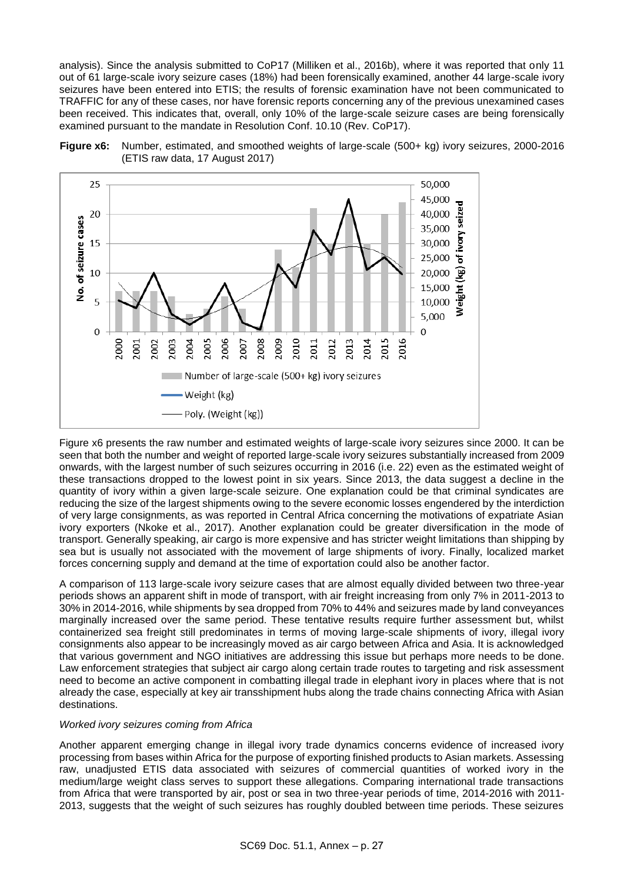analysis). Since the analysis submitted to CoP17 (Milliken et al., 2016b), where it was reported that only 11 out of 61 large-scale ivory seizure cases (18%) had been forensically examined, another 44 large-scale ivory seizures have been entered into ETIS; the results of forensic examination have not been communicated to TRAFFIC for any of these cases, nor have forensic reports concerning any of the previous unexamined cases been received. This indicates that, overall, only 10% of the large-scale seizure cases are being forensically examined pursuant to the mandate in Resolution Conf. 10.10 (Rev. CoP17).





Figure x6 presents the raw number and estimated weights of large-scale ivory seizures since 2000. It can be seen that both the number and weight of reported large-scale ivory seizures substantially increased from 2009 onwards, with the largest number of such seizures occurring in 2016 (i.e. 22) even as the estimated weight of these transactions dropped to the lowest point in six years. Since 2013, the data suggest a decline in the quantity of ivory within a given large-scale seizure. One explanation could be that criminal syndicates are reducing the size of the largest shipments owing to the severe economic losses engendered by the interdiction of very large consignments, as was reported in Central Africa concerning the motivations of expatriate Asian ivory exporters (Nkoke et al., 2017). Another explanation could be greater diversification in the mode of transport. Generally speaking, air cargo is more expensive and has stricter weight limitations than shipping by sea but is usually not associated with the movement of large shipments of ivory. Finally, localized market forces concerning supply and demand at the time of exportation could also be another factor.

A comparison of 113 large-scale ivory seizure cases that are almost equally divided between two three-year periods shows an apparent shift in mode of transport, with air freight increasing from only 7% in 2011-2013 to 30% in 2014-2016, while shipments by sea dropped from 70% to 44% and seizures made by land conveyances marginally increased over the same period. These tentative results require further assessment but, whilst containerized sea freight still predominates in terms of moving large-scale shipments of ivory, illegal ivory consignments also appear to be increasingly moved as air cargo between Africa and Asia. It is acknowledged that various government and NGO initiatives are addressing this issue but perhaps more needs to be done. Law enforcement strategies that subject air cargo along certain trade routes to targeting and risk assessment need to become an active component in combatting illegal trade in elephant ivory in places where that is not already the case, especially at key air transshipment hubs along the trade chains connecting Africa with Asian destinations.

#### *Worked ivory seizures coming from Africa*

Another apparent emerging change in illegal ivory trade dynamics concerns evidence of increased ivory processing from bases within Africa for the purpose of exporting finished products to Asian markets. Assessing raw, unadjusted ETIS data associated with seizures of commercial quantities of worked ivory in the medium/large weight class serves to support these allegations. Comparing international trade transactions from Africa that were transported by air, post or sea in two three-year periods of time, 2014-2016 with 2011- 2013, suggests that the weight of such seizures has roughly doubled between time periods. These seizures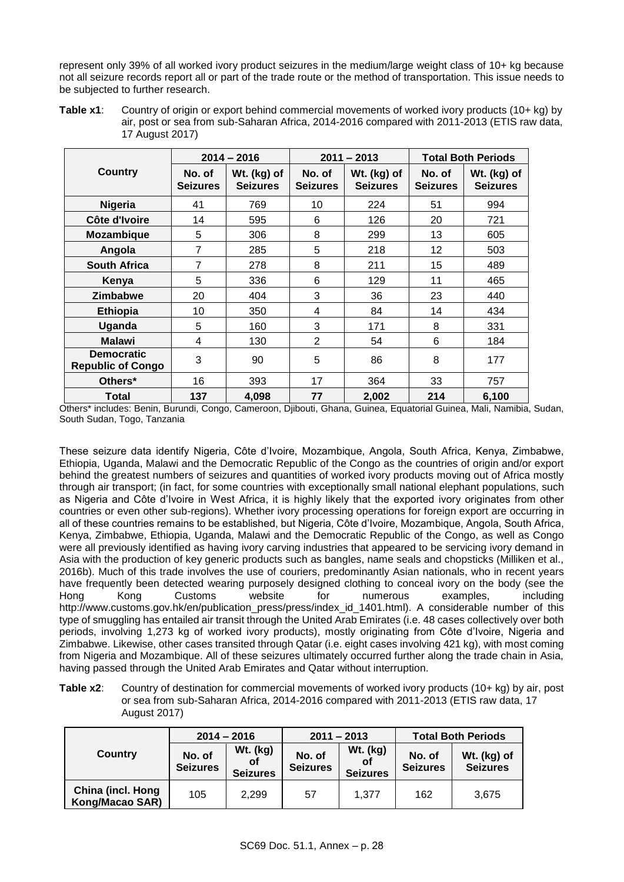represent only 39% of all worked ivory product seizures in the medium/large weight class of 10+ kg because not all seizure records report all or part of the trade route or the method of transportation. This issue needs to be subjected to further research.

**Table x1**: Country of origin or export behind commercial movements of worked ivory products (10+ kg) by air, post or sea from sub-Saharan Africa, 2014-2016 compared with 2011-2013 (ETIS raw data, 17 August 2017)

|                                               | $2014 - 2016$             |                                |                           | $2011 - 2013$                  | <b>Total Both Periods</b> |                                |
|-----------------------------------------------|---------------------------|--------------------------------|---------------------------|--------------------------------|---------------------------|--------------------------------|
| <b>Country</b>                                | No. of<br><b>Seizures</b> | Wt. (kg) of<br><b>Seizures</b> | No. of<br><b>Seizures</b> | Wt. (kg) of<br><b>Seizures</b> | No. of<br><b>Seizures</b> | Wt. (kg) of<br><b>Seizures</b> |
| <b>Nigeria</b>                                | 41                        | 769                            | 10                        | 224                            | 51                        | 994                            |
| Côte d'Ivoire                                 | 14                        | 595                            | 6                         | 126                            | 20                        | 721                            |
| <b>Mozambique</b>                             | 5                         | 306                            | 8                         | 299                            | 13                        | 605                            |
| Angola                                        | 7                         | 285                            | 5                         | 218                            | 12                        | 503                            |
| <b>South Africa</b>                           | 7                         | 278                            | 8                         | 211                            | 15                        | 489                            |
| Kenya                                         | 5                         | 336                            | 6                         | 129                            | 11                        | 465                            |
| <b>Zimbabwe</b>                               | 20                        | 404                            | 3                         | 36                             | 23                        | 440                            |
| <b>Ethiopia</b>                               | 10                        | 350                            | 4                         | 84                             | 14                        | 434                            |
| Uganda                                        | 5                         | 160                            | 3                         | 171                            | 8                         | 331                            |
| <b>Malawi</b>                                 | 4                         | 130                            | 2                         | 54                             | 6                         | 184                            |
| <b>Democratic</b><br><b>Republic of Congo</b> | 3                         | 90                             | 5                         | 86                             | 8                         | 177                            |
| Others*                                       | 16                        | 393                            | 17                        | 364                            | 33                        | 757                            |
| Total                                         | 137                       | 4,098                          | 77                        | 2,002                          | 214                       | 6,100                          |

Others\* includes: Benin, Burundi, Congo, Cameroon, Djibouti, Ghana, Guinea, Equatorial Guinea, Mali, Namibia, Sudan, South Sudan, Togo, Tanzania

These seizure data identify Nigeria, Côte d'Ivoire, Mozambique, Angola, South Africa, Kenya, Zimbabwe, Ethiopia, Uganda, Malawi and the Democratic Republic of the Congo as the countries of origin and/or export behind the greatest numbers of seizures and quantities of worked ivory products moving out of Africa mostly through air transport; (in fact, for some countries with exceptionally small national elephant populations, such as Nigeria and Côte d'Ivoire in West Africa, it is highly likely that the exported ivory originates from other countries or even other sub-regions). Whether ivory processing operations for foreign export are occurring in all of these countries remains to be established, but Nigeria, Côte d'Ivoire, Mozambique, Angola, South Africa, Kenya, Zimbabwe, Ethiopia, Uganda, Malawi and the Democratic Republic of the Congo, as well as Congo were all previously identified as having ivory carving industries that appeared to be servicing ivory demand in Asia with the production of key generic products such as bangles, name seals and chopsticks (Milliken et al., 2016b). Much of this trade involves the use of couriers, predominantly Asian nationals, who in recent years have frequently been detected wearing purposely designed clothing to conceal ivory on the body (see the Hong Kong Customs website for numerous examples, including Hong Kong Customs website for numerous examples, including http://www.customs.gov.hk/en/publication\_press/press/index\_id\_1401.html). A considerable number of this type of smuggling has entailed air transit through the United Arab Emirates (i.e. 48 cases collectively over both periods, involving 1,273 kg of worked ivory products), mostly originating from Côte d'Ivoire, Nigeria and Zimbabwe. Likewise, other cases transited through Qatar (i.e. eight cases involving 421 kg), with most coming from Nigeria and Mozambique. All of these seizures ultimately occurred further along the trade chain in Asia, having passed through the United Arab Emirates and Qatar without interruption.

**Table x2**: Country of destination for commercial movements of worked ivory products (10+ kg) by air, post or sea from sub-Saharan Africa, 2014-2016 compared with 2011-2013 (ETIS raw data, 17 August 2017)

|                                      | $2014 - 2016$             |                                          | $2011 - 2013$             |                                          | <b>Total Both Periods</b> |                                |
|--------------------------------------|---------------------------|------------------------------------------|---------------------------|------------------------------------------|---------------------------|--------------------------------|
| <b>Country</b>                       | No. of<br><b>Seizures</b> | <b>Wt. (kg)</b><br>οf<br><b>Seizures</b> | No. of<br><b>Seizures</b> | <b>Wt. (kg)</b><br>οf<br><b>Seizures</b> | No. of<br><b>Seizures</b> | Wt. (kg) of<br><b>Seizures</b> |
| China (incl. Hong<br>Kong/Macao SAR) | 105                       | 2,299                                    | 57                        | 1.377                                    | 162                       | 3,675                          |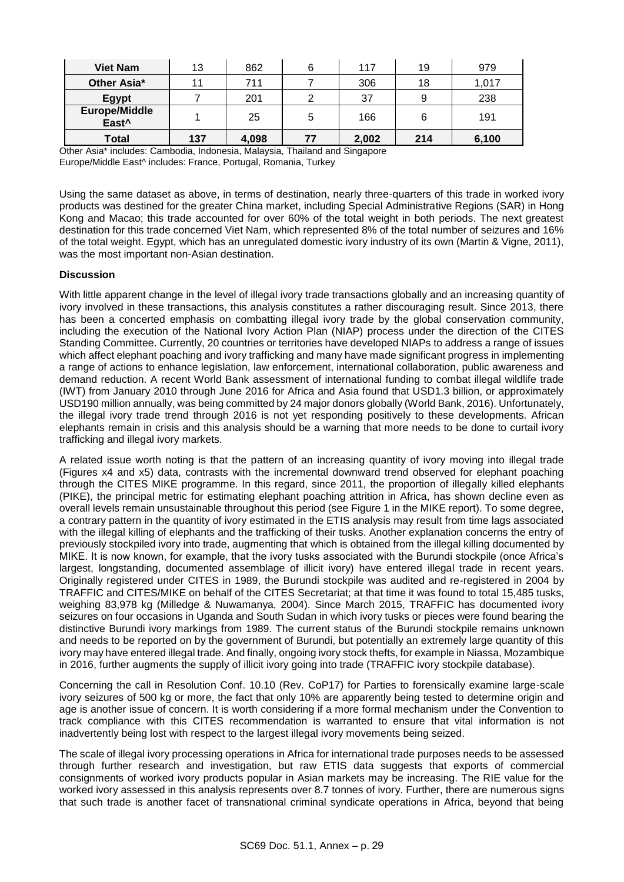| <b>Viet Nam</b>                           | 13  | 862   | 6  | 117   | 19  | 979   |
|-------------------------------------------|-----|-------|----|-------|-----|-------|
| Other Asia*                               | 11  | 711   |    | 306   | 18  | 1,017 |
| <b>Egypt</b>                              |     | 201   | ⌒  | 37    | 9   | 238   |
| <b>Europe/Middle</b><br>East <sup>^</sup> |     | 25    | 5  | 166   | 6   | 191   |
| <b>Total</b>                              | 137 | 4,098 | 77 | 2,002 | 214 | 6,100 |

Other Asia\* includes: Cambodia, Indonesia, Malaysia, Thailand and Singapore Europe/Middle East^ includes: France, Portugal, Romania, Turkey

Using the same dataset as above, in terms of destination, nearly three-quarters of this trade in worked ivory products was destined for the greater China market, including Special Administrative Regions (SAR) in Hong Kong and Macao; this trade accounted for over 60% of the total weight in both periods. The next greatest destination for this trade concerned Viet Nam, which represented 8% of the total number of seizures and 16% of the total weight. Egypt, which has an unregulated domestic ivory industry of its own (Martin & Vigne, 2011), was the most important non-Asian destination.

# **Discussion**

With little apparent change in the level of illegal ivory trade transactions globally and an increasing quantity of ivory involved in these transactions, this analysis constitutes a rather discouraging result. Since 2013, there has been a concerted emphasis on combatting illegal ivory trade by the global conservation community, including the execution of the National Ivory Action Plan (NIAP) process under the direction of the CITES Standing Committee. Currently, 20 countries or territories have developed NIAPs to address a range of issues which affect elephant poaching and ivory trafficking and many have made significant progress in implementing a range of actions to enhance legislation, law enforcement, international collaboration, public awareness and demand reduction. A recent World Bank assessment of international funding to combat illegal wildlife trade (IWT) from January 2010 through June 2016 for Africa and Asia found that USD1.3 billion, or approximately USD190 million annually, was being committed by 24 major donors globally (World Bank, 2016). Unfortunately, the illegal ivory trade trend through 2016 is not yet responding positively to these developments. African elephants remain in crisis and this analysis should be a warning that more needs to be done to curtail ivory trafficking and illegal ivory markets.

A related issue worth noting is that the pattern of an increasing quantity of ivory moving into illegal trade (Figures x4 and x5) data, contrasts with the incremental downward trend observed for elephant poaching through the CITES MIKE programme. In this regard, since 2011, the proportion of illegally killed elephants (PIKE), the principal metric for estimating elephant poaching attrition in Africa, has shown decline even as overall levels remain unsustainable throughout this period (see Figure 1 in the MIKE report). To some degree, a contrary pattern in the quantity of ivory estimated in the ETIS analysis may result from time lags associated with the illegal killing of elephants and the trafficking of their tusks. Another explanation concerns the entry of previously stockpiled ivory into trade, augmenting that which is obtained from the illegal killing documented by MIKE. It is now known, for example, that the ivory tusks associated with the Burundi stockpile (once Africa's largest, longstanding, documented assemblage of illicit ivory) have entered illegal trade in recent years. Originally registered under CITES in 1989, the Burundi stockpile was audited and re-registered in 2004 by TRAFFIC and CITES/MIKE on behalf of the CITES Secretariat; at that time it was found to total 15,485 tusks, weighing 83,978 kg (Milledge & Nuwamanya, 2004). Since March 2015, TRAFFIC has documented ivory seizures on four occasions in Uganda and South Sudan in which ivory tusks or pieces were found bearing the distinctive Burundi ivory markings from 1989. The current status of the Burundi stockpile remains unknown and needs to be reported on by the government of Burundi, but potentially an extremely large quantity of this ivory may have entered illegal trade. And finally, ongoing ivory stock thefts, for example in Niassa, Mozambique in 2016, further augments the supply of illicit ivory going into trade (TRAFFIC ivory stockpile database).

Concerning the call in Resolution Conf. 10.10 (Rev. CoP17) for Parties to forensically examine large-scale ivory seizures of 500 kg or more, the fact that only 10% are apparently being tested to determine origin and age is another issue of concern. It is worth considering if a more formal mechanism under the Convention to track compliance with this CITES recommendation is warranted to ensure that vital information is not inadvertently being lost with respect to the largest illegal ivory movements being seized.

The scale of illegal ivory processing operations in Africa for international trade purposes needs to be assessed through further research and investigation, but raw ETIS data suggests that exports of commercial consignments of worked ivory products popular in Asian markets may be increasing. The RIE value for the worked ivory assessed in this analysis represents over 8.7 tonnes of ivory. Further, there are numerous signs that such trade is another facet of transnational criminal syndicate operations in Africa, beyond that being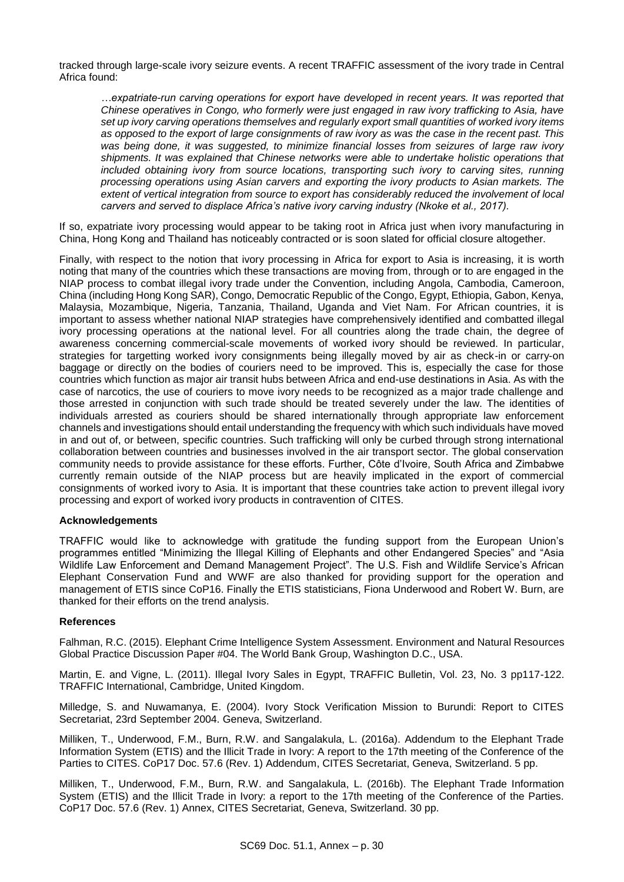tracked through large-scale ivory seizure events. A recent TRAFFIC assessment of the ivory trade in Central Africa found:

*…expatriate-run carving operations for export have developed in recent years. It was reported that Chinese operatives in Congo, who formerly were just engaged in raw ivory trafficking to Asia, have set up ivory carving operations themselves and regularly export small quantities of worked ivory items as opposed to the export of large consignments of raw ivory as was the case in the recent past. This was being done, it was suggested, to minimize financial losses from seizures of large raw ivory shipments. It was explained that Chinese networks were able to undertake holistic operations that included obtaining ivory from source locations, transporting such ivory to carving sites, running processing operations using Asian carvers and exporting the ivory products to Asian markets. The extent of vertical integration from source to export has considerably reduced the involvement of local carvers and served to displace Africa's native ivory carving industry (Nkoke et al., 2017).*

If so, expatriate ivory processing would appear to be taking root in Africa just when ivory manufacturing in China, Hong Kong and Thailand has noticeably contracted or is soon slated for official closure altogether.

Finally, with respect to the notion that ivory processing in Africa for export to Asia is increasing, it is worth noting that many of the countries which these transactions are moving from, through or to are engaged in the NIAP process to combat illegal ivory trade under the Convention, including Angola, Cambodia, Cameroon, China (including Hong Kong SAR), Congo, Democratic Republic of the Congo, Egypt, Ethiopia, Gabon, Kenya, Malaysia, Mozambique, Nigeria, Tanzania, Thailand, Uganda and Viet Nam. For African countries, it is important to assess whether national NIAP strategies have comprehensively identified and combatted illegal ivory processing operations at the national level. For all countries along the trade chain, the degree of awareness concerning commercial-scale movements of worked ivory should be reviewed. In particular, strategies for targetting worked ivory consignments being illegally moved by air as check-in or carry-on baggage or directly on the bodies of couriers need to be improved. This is, especially the case for those countries which function as major air transit hubs between Africa and end-use destinations in Asia. As with the case of narcotics, the use of couriers to move ivory needs to be recognized as a major trade challenge and those arrested in conjunction with such trade should be treated severely under the law. The identities of individuals arrested as couriers should be shared internationally through appropriate law enforcement channels and investigations should entail understanding the frequency with which such individuals have moved in and out of, or between, specific countries. Such trafficking will only be curbed through strong international collaboration between countries and businesses involved in the air transport sector. The global conservation community needs to provide assistance for these efforts. Further, Côte d'Ivoire, South Africa and Zimbabwe currently remain outside of the NIAP process but are heavily implicated in the export of commercial consignments of worked ivory to Asia. It is important that these countries take action to prevent illegal ivory processing and export of worked ivory products in contravention of CITES.

#### **Acknowledgements**

TRAFFIC would like to acknowledge with gratitude the funding support from the European Union's programmes entitled "Minimizing the Illegal Killing of Elephants and other Endangered Species" and "Asia Wildlife Law Enforcement and Demand Management Project". The U.S. Fish and Wildlife Service's African Elephant Conservation Fund and WWF are also thanked for providing support for the operation and management of ETIS since CoP16. Finally the ETIS statisticians, Fiona Underwood and Robert W. Burn, are thanked for their efforts on the trend analysis.

#### **References**

Falhman, R.C. (2015). Elephant Crime Intelligence System Assessment. Environment and Natural Resources Global Practice Discussion Paper #04. The World Bank Group, Washington D.C., USA.

Martin, E. and Vigne, L. (2011). Illegal Ivory Sales in Egypt, TRAFFIC Bulletin, Vol. 23, No. 3 pp117-122. TRAFFIC International, Cambridge, United Kingdom.

Milledge, S. and Nuwamanya, E. (2004). Ivory Stock Verification Mission to Burundi: Report to CITES Secretariat, 23rd September 2004. Geneva, Switzerland.

Milliken, T., Underwood, F.M., Burn, R.W. and Sangalakula, L. (2016a). Addendum to the Elephant Trade Information System (ETIS) and the Illicit Trade in Ivory: A report to the 17th meeting of the Conference of the Parties to CITES. CoP17 Doc. 57.6 (Rev. 1) Addendum, CITES Secretariat, Geneva, Switzerland. 5 pp.

Milliken, T., Underwood, F.M., Burn, R.W. and Sangalakula, L. (2016b). The Elephant Trade Information System (ETIS) and the Illicit Trade in Ivory: a report to the 17th meeting of the Conference of the Parties. CoP17 Doc. 57.6 (Rev. 1) Annex, CITES Secretariat, Geneva, Switzerland. 30 pp.